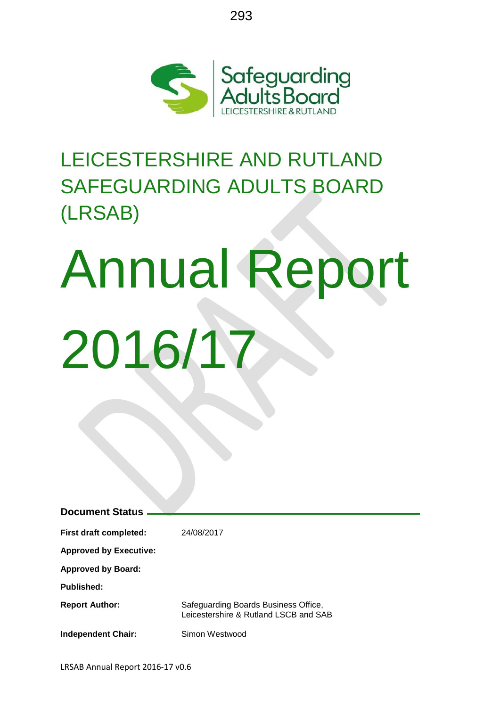

293

# LEICESTERSHIRE AND RUTLAND SAFEGUARDING ADULTS BOARD (LRSAB)

# Annual Report 2016/17

| <b>Document Status</b>        |                                                                               |
|-------------------------------|-------------------------------------------------------------------------------|
|                               |                                                                               |
| <b>First draft completed:</b> | 24/08/2017                                                                    |
| <b>Approved by Executive:</b> |                                                                               |
| <b>Approved by Board:</b>     |                                                                               |
| Published:                    |                                                                               |
| <b>Report Author:</b>         | Safeguarding Boards Business Office,<br>Leicestershire & Rutland LSCB and SAB |
| <b>Independent Chair:</b>     | Simon Westwood                                                                |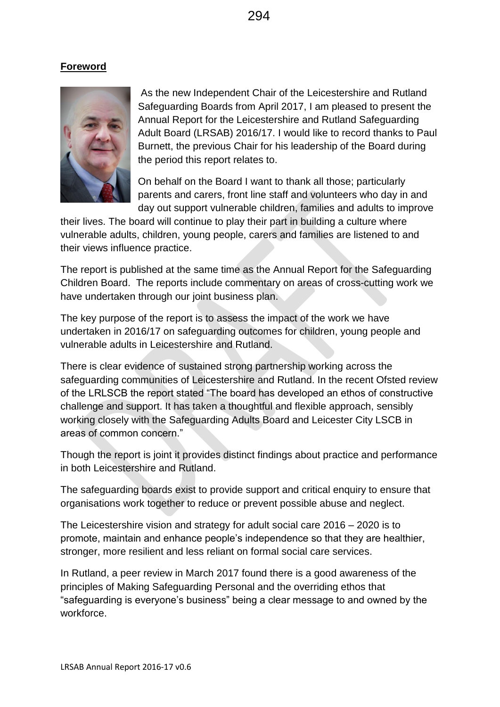294

# **Foreword**



As the new Independent Chair of the Leicestershire and Rutland Safeguarding Boards from April 2017, I am pleased to present the Annual Report for the Leicestershire and Rutland Safeguarding Adult Board (LRSAB) 2016/17. I would like to record thanks to Paul Burnett, the previous Chair for his leadership of the Board during the period this report relates to.

On behalf on the Board I want to thank all those; particularly parents and carers, front line staff and volunteers who day in and day out support vulnerable children, families and adults to improve

their lives. The board will continue to play their part in building a culture where vulnerable adults, children, young people, carers and families are listened to and their views influence practice.

The report is published at the same time as the Annual Report for the Safeguarding Children Board. The reports include commentary on areas of cross-cutting work we have undertaken through our joint business plan.

The key purpose of the report is to assess the impact of the work we have undertaken in 2016/17 on safeguarding outcomes for children, young people and vulnerable adults in Leicestershire and Rutland.

There is clear evidence of sustained strong partnership working across the safeguarding communities of Leicestershire and Rutland. In the recent Ofsted review of the LRLSCB the report stated "The board has developed an ethos of constructive challenge and support. It has taken a thoughtful and flexible approach, sensibly working closely with the Safeguarding Adults Board and Leicester City LSCB in areas of common concern."

Though the report is joint it provides distinct findings about practice and performance in both Leicestershire and Rutland.

The safeguarding boards exist to provide support and critical enquiry to ensure that organisations work together to reduce or prevent possible abuse and neglect.

The Leicestershire vision and strategy for adult social care 2016 – 2020 is to promote, maintain and enhance people's independence so that they are healthier, stronger, more resilient and less reliant on formal social care services.

In Rutland, a peer review in March 2017 found there is a good awareness of the principles of Making Safeguarding Personal and the overriding ethos that "safeguarding is everyone's business" being a clear message to and owned by the workforce.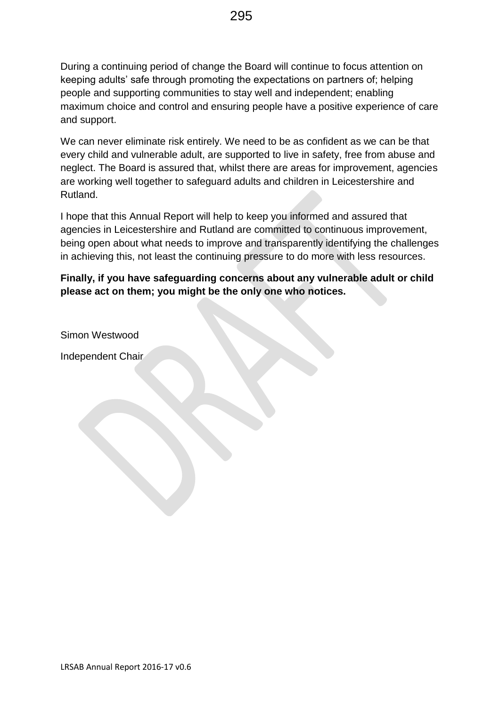During a continuing period of change the Board will continue to focus attention on keeping adults' safe through promoting the expectations on partners of; helping people and supporting communities to stay well and independent; enabling maximum choice and control and ensuring people have a positive experience of care and support.

We can never eliminate risk entirely. We need to be as confident as we can be that every child and vulnerable adult, are supported to live in safety, free from abuse and neglect. The Board is assured that, whilst there are areas for improvement, agencies are working well together to safeguard adults and children in Leicestershire and Rutland.

I hope that this Annual Report will help to keep you informed and assured that agencies in Leicestershire and Rutland are committed to continuous improvement, being open about what needs to improve and transparently identifying the challenges in achieving this, not least the continuing pressure to do more with less resources.

**Finally, if you have safeguarding concerns about any vulnerable adult or child please act on them; you might be the only one who notices.**

Simon Westwood

Independent Chair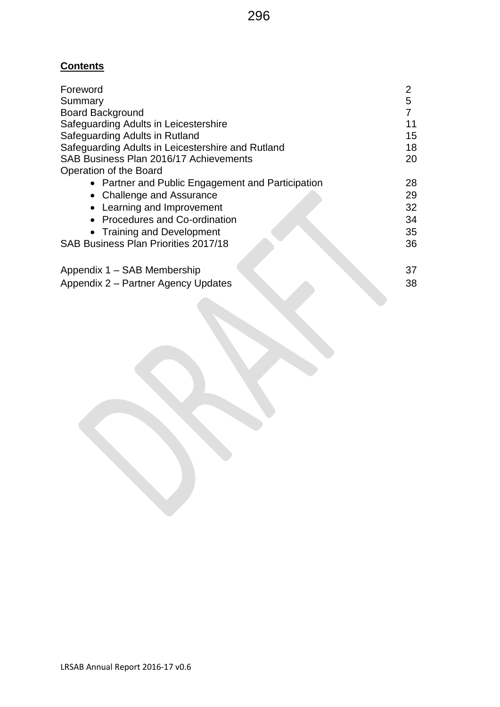# **Contents**

| Foreword                                          | 2  |
|---------------------------------------------------|----|
| Summary                                           | 5  |
| <b>Board Background</b>                           |    |
| Safequarding Adults in Leicestershire             | 11 |
| Safeguarding Adults in Rutland                    | 15 |
| Safeguarding Adults in Leicestershire and Rutland | 18 |
| SAB Business Plan 2016/17 Achievements            | 20 |
| Operation of the Board                            |    |
| • Partner and Public Engagement and Participation | 28 |
| • Challenge and Assurance                         | 29 |
| • Learning and Improvement                        | 32 |
| • Procedures and Co-ordination                    | 34 |
| • Training and Development                        | 35 |
| SAB Business Plan Priorities 2017/18              | 36 |
| Appendix 1 - SAB Membership                       | 37 |
| Appendix 2 - Partner Agency Updates               | 38 |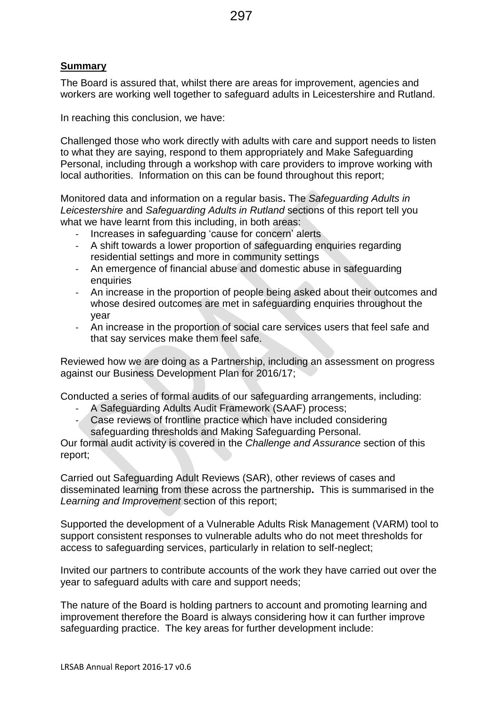# **Summary**

The Board is assured that, whilst there are areas for improvement, agencies and workers are working well together to safeguard adults in Leicestershire and Rutland.

In reaching this conclusion, we have:

Challenged those who work directly with adults with care and support needs to listen to what they are saying, respond to them appropriately and Make Safeguarding Personal, including through a workshop with care providers to improve working with local authorities. Information on this can be found throughout this report;

Monitored data and information on a regular basis**.** The *Safeguarding Adults in Leicestershire* and *Safeguarding Adults in Rutland* sections of this report tell you what we have learnt from this including, in both areas:

- Increases in safeguarding 'cause for concern' alerts
- A shift towards a lower proportion of safeguarding enquiries regarding residential settings and more in community settings
- An emergence of financial abuse and domestic abuse in safeguarding enquiries
- An increase in the proportion of people being asked about their outcomes and whose desired outcomes are met in safeguarding enquiries throughout the year
- An increase in the proportion of social care services users that feel safe and that say services make them feel safe.

Reviewed how we are doing as a Partnership, including an assessment on progress against our Business Development Plan for 2016/17;

Conducted a series of formal audits of our safeguarding arrangements, including:

- A Safeguarding Adults Audit Framework (SAAF) process;
- Case reviews of frontline practice which have included considering safeguarding thresholds and Making Safeguarding Personal.

Our formal audit activity is covered in the *Challenge and Assurance* section of this report;

Carried out Safeguarding Adult Reviews (SAR), other reviews of cases and disseminated learning from these across the partnership**.** This is summarised in the *Learning and Improvement* section of this report;

Supported the development of a Vulnerable Adults Risk Management (VARM) tool to support consistent responses to vulnerable adults who do not meet thresholds for access to safeguarding services, particularly in relation to self-neglect;

Invited our partners to contribute accounts of the work they have carried out over the year to safeguard adults with care and support needs;

The nature of the Board is holding partners to account and promoting learning and improvement therefore the Board is always considering how it can further improve safeguarding practice. The key areas for further development include: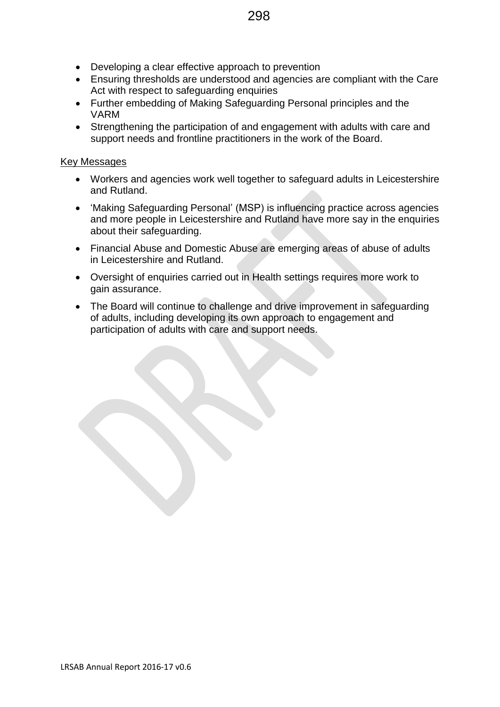- Developing a clear effective approach to prevention
- Ensuring thresholds are understood and agencies are compliant with the Care Act with respect to safeguarding enquiries
- Further embedding of Making Safeguarding Personal principles and the VARM
- Strengthening the participation of and engagement with adults with care and support needs and frontline practitioners in the work of the Board.

### Key Messages

- Workers and agencies work well together to safeguard adults in Leicestershire and Rutland.
- 'Making Safeguarding Personal' (MSP) is influencing practice across agencies and more people in Leicestershire and Rutland have more say in the enquiries about their safeguarding.
- Financial Abuse and Domestic Abuse are emerging areas of abuse of adults in Leicestershire and Rutland.
- Oversight of enquiries carried out in Health settings requires more work to gain assurance.
- The Board will continue to challenge and drive improvement in safeguarding of adults, including developing its own approach to engagement and participation of adults with care and support needs.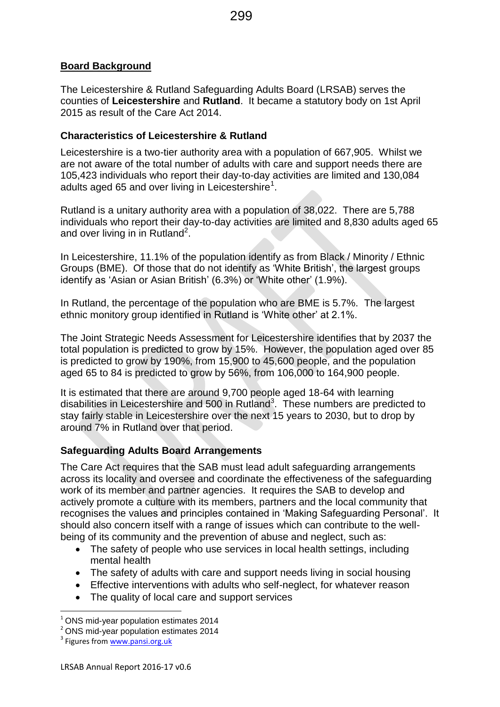### **Board Background**

The Leicestershire & Rutland Safeguarding Adults Board (LRSAB) serves the counties of **Leicestershire** and **Rutland**. It became a statutory body on 1st April 2015 as result of the Care Act 2014.

### **Characteristics of Leicestershire & Rutland**

Leicestershire is a two-tier authority area with a population of 667,905. Whilst we are not aware of the total number of adults with care and support needs there are 105,423 individuals who report their day-to-day activities are limited and 130,084 adults aged 65 and over living in Leicestershire<sup>1</sup>.

Rutland is a unitary authority area with a population of 38,022. There are 5,788 individuals who report their day-to-day activities are limited and 8,830 adults aged 65 and over living in in Rutland<sup>2</sup>.

In Leicestershire, 11.1% of the population identify as from Black / Minority / Ethnic Groups (BME). Of those that do not identify as 'White British', the largest groups identify as 'Asian or Asian British' (6.3%) or 'White other' (1.9%).

In Rutland, the percentage of the population who are BME is 5.7%. The largest ethnic monitory group identified in Rutland is 'White other' at 2.1%.

The Joint Strategic Needs Assessment for Leicestershire identifies that by 2037 the total population is predicted to grow by 15%. However, the population aged over 85 is predicted to grow by 190%, from 15,900 to 45,600 people, and the population aged 65 to 84 is predicted to grow by 56%, from 106,000 to 164,900 people.

It is estimated that there are around 9,700 people aged 18-64 with learning disabilities in Leicestershire and 500 in Rutland<sup>3</sup>. These numbers are predicted to stay fairly stable in Leicestershire over the next 15 years to 2030, but to drop by around 7% in Rutland over that period.

### **Safeguarding Adults Board Arrangements**

The Care Act requires that the SAB must lead adult safeguarding arrangements across its locality and oversee and coordinate the effectiveness of the safeguarding work of its member and partner agencies. It requires the SAB to develop and actively promote a culture with its members, partners and the local community that recognises the values and principles contained in 'Making Safeguarding Personal'. It should also concern itself with a range of issues which can contribute to the wellbeing of its community and the prevention of abuse and neglect, such as:

- The safety of people who use services in local health settings, including mental health
- The safety of adults with care and support needs living in social housing
- Effective interventions with adults who self-neglect, for whatever reason
- The quality of local care and support services

**.** 

 $1$  ONS mid-year population estimates 2014

<sup>2</sup> ONS mid-year population estimates 2014

<sup>&</sup>lt;sup>3</sup> Figures from [www.pansi.org.uk](http://www.pansi.org.uk/)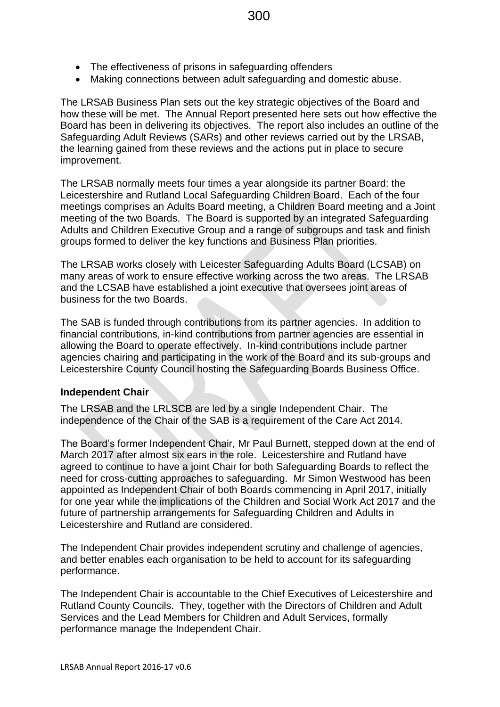- The effectiveness of prisons in safeguarding offenders
- Making connections between adult safeguarding and domestic abuse.

The LRSAB Business Plan sets out the key strategic objectives of the Board and how these will be met. The Annual Report presented here sets out how effective the Board has been in delivering its objectives. The report also includes an outline of the Safeguarding Adult Reviews (SARs) and other reviews carried out by the LRSAB, the learning gained from these reviews and the actions put in place to secure improvement.

The LRSAB normally meets four times a year alongside its partner Board: the Leicestershire and Rutland Local Safeguarding Children Board. Each of the four meetings comprises an Adults Board meeting, a Children Board meeting and a Joint meeting of the two Boards. The Board is supported by an integrated Safeguarding Adults and Children Executive Group and a range of subgroups and task and finish groups formed to deliver the key functions and Business Plan priorities.

The LRSAB works closely with Leicester Safeguarding Adults Board (LCSAB) on many areas of work to ensure effective working across the two areas. The LRSAB and the LCSAB have established a joint executive that oversees joint areas of business for the two Boards.

The SAB is funded through contributions from its partner agencies. In addition to financial contributions, in-kind contributions from partner agencies are essential in allowing the Board to operate effectively. In-kind contributions include partner agencies chairing and participating in the work of the Board and its sub-groups and Leicestershire County Council hosting the Safeguarding Boards Business Office.

### **Independent Chair**

The LRSAB and the LRLSCB are led by a single Independent Chair. The independence of the Chair of the SAB is a requirement of the Care Act 2014.

The Board's former Independent Chair, Mr Paul Burnett, stepped down at the end of March 2017 after almost six ears in the role. Leicestershire and Rutland have agreed to continue to have a joint Chair for both Safeguarding Boards to reflect the need for cross-cutting approaches to safeguarding. Mr Simon Westwood has been appointed as Independent Chair of both Boards commencing in April 2017, initially for one year while the implications of the Children and Social Work Act 2017 and the future of partnership arrangements for Safeguarding Children and Adults in Leicestershire and Rutland are considered.

The Independent Chair provides independent scrutiny and challenge of agencies, and better enables each organisation to be held to account for its safeguarding performance.

The Independent Chair is accountable to the Chief Executives of Leicestershire and Rutland County Councils. They, together with the Directors of Children and Adult Services and the Lead Members for Children and Adult Services, formally performance manage the Independent Chair.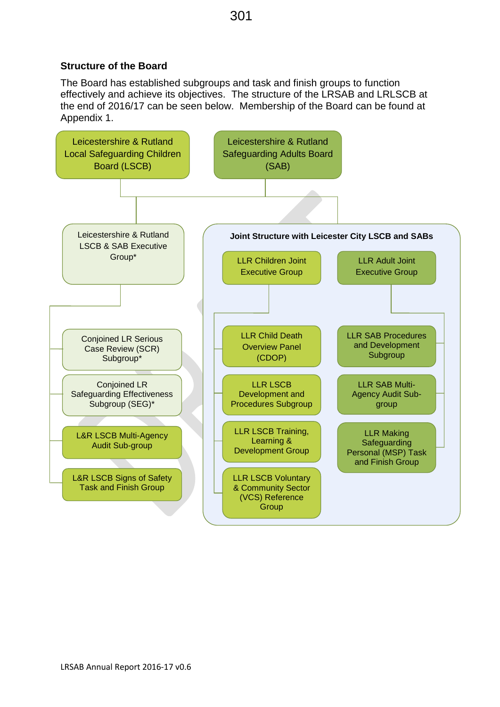### **Structure of the Board**

The Board has established subgroups and task and finish groups to function effectively and achieve its objectives. The structure of the LRSAB and LRLSCB at the end of 2016/17 can be seen below. Membership of the Board can be found at Appendix 1.

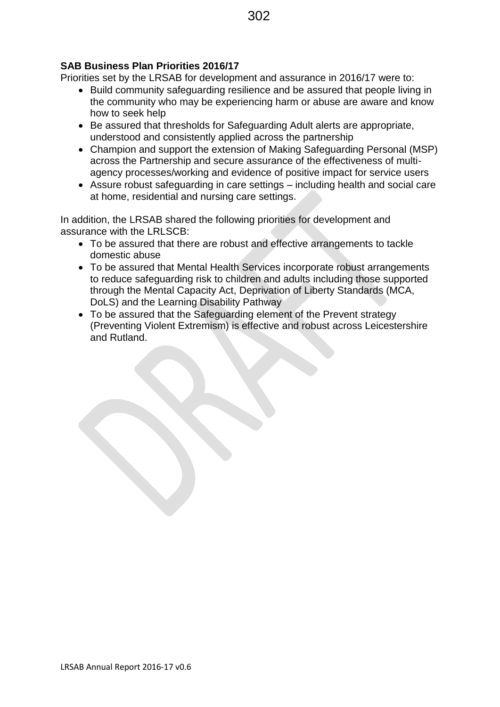### **SAB Business Plan Priorities 2016/17**

Priorities set by the LRSAB for development and assurance in 2016/17 were to:

- Build community safeguarding resilience and be assured that people living in the community who may be experiencing harm or abuse are aware and know how to seek help
- Be assured that thresholds for Safeguarding Adult alerts are appropriate, understood and consistently applied across the partnership
- Champion and support the extension of Making Safeguarding Personal (MSP) across the Partnership and secure assurance of the effectiveness of multiagency processes/working and evidence of positive impact for service users
- Assure robust safeguarding in care settings including health and social care at home, residential and nursing care settings.

In addition, the LRSAB shared the following priorities for development and assurance with the LRLSCB:

- To be assured that there are robust and effective arrangements to tackle domestic abuse
- To be assured that Mental Health Services incorporate robust arrangements to reduce safeguarding risk to children and adults including those supported through the Mental Capacity Act, Deprivation of Liberty Standards (MCA, DoLS) and the Learning Disability Pathway
- To be assured that the Safeguarding element of the Prevent strategy (Preventing Violent Extremism) is effective and robust across Leicestershire and Rutland.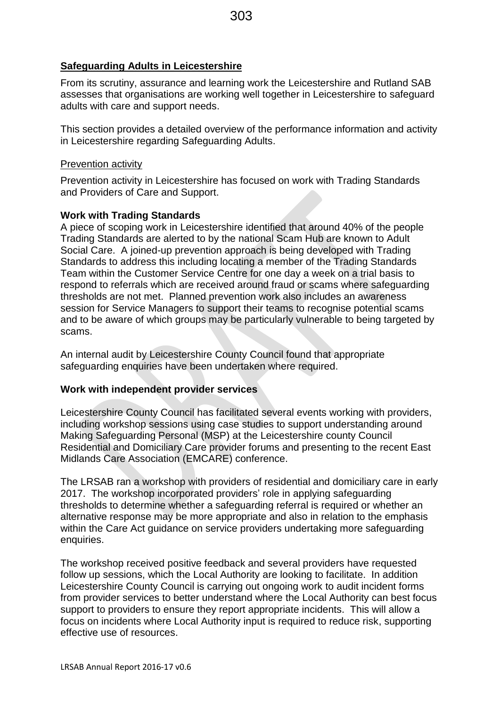### **Safeguarding Adults in Leicestershire**

From its scrutiny, assurance and learning work the Leicestershire and Rutland SAB assesses that organisations are working well together in Leicestershire to safeguard adults with care and support needs.

This section provides a detailed overview of the performance information and activity in Leicestershire regarding Safeguarding Adults.

### Prevention activity

Prevention activity in Leicestershire has focused on work with Trading Standards and Providers of Care and Support.

### **Work with Trading Standards**

A piece of scoping work in Leicestershire identified that around 40% of the people Trading Standards are alerted to by the national Scam Hub are known to Adult Social Care. A joined-up prevention approach is being developed with Trading Standards to address this including locating a member of the Trading Standards Team within the Customer Service Centre for one day a week on a trial basis to respond to referrals which are received around fraud or scams where safeguarding thresholds are not met. Planned prevention work also includes an awareness session for Service Managers to support their teams to recognise potential scams and to be aware of which groups may be particularly vulnerable to being targeted by scams.

An internal audit by Leicestershire County Council found that appropriate safeguarding enquiries have been undertaken where required.

### **Work with independent provider services**

Leicestershire County Council has facilitated several events working with providers, including workshop sessions using case studies to support understanding around Making Safeguarding Personal (MSP) at the Leicestershire county Council Residential and Domiciliary Care provider forums and presenting to the recent East Midlands Care Association (EMCARE) conference.

The LRSAB ran a workshop with providers of residential and domiciliary care in early 2017. The workshop incorporated providers' role in applying safeguarding thresholds to determine whether a safeguarding referral is required or whether an alternative response may be more appropriate and also in relation to the emphasis within the Care Act guidance on service providers undertaking more safeguarding enquiries.

The workshop received positive feedback and several providers have requested follow up sessions, which the Local Authority are looking to facilitate. In addition Leicestershire County Council is carrying out ongoing work to audit incident forms from provider services to better understand where the Local Authority can best focus support to providers to ensure they report appropriate incidents. This will allow a focus on incidents where Local Authority input is required to reduce risk, supporting effective use of resources.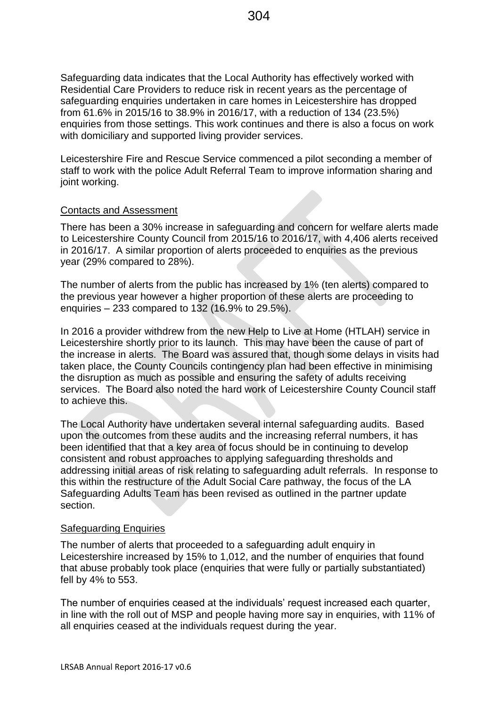Safeguarding data indicates that the Local Authority has effectively worked with Residential Care Providers to reduce risk in recent years as the percentage of safeguarding enquiries undertaken in care homes in Leicestershire has dropped from 61.6% in 2015/16 to 38.9% in 2016/17, with a reduction of 134 (23.5%) enquiries from those settings. This work continues and there is also a focus on work with domiciliary and supported living provider services.

Leicestershire Fire and Rescue Service commenced a pilot seconding a member of staff to work with the police Adult Referral Team to improve information sharing and joint working.

### Contacts and Assessment

There has been a 30% increase in safeguarding and concern for welfare alerts made to Leicestershire County Council from 2015/16 to 2016/17, with 4,406 alerts received in 2016/17. A similar proportion of alerts proceeded to enquiries as the previous year (29% compared to 28%).

The number of alerts from the public has increased by 1% (ten alerts) compared to the previous year however a higher proportion of these alerts are proceeding to enquiries – 233 compared to 132 (16.9% to 29.5%).

In 2016 a provider withdrew from the new Help to Live at Home (HTLAH) service in Leicestershire shortly prior to its launch. This may have been the cause of part of the increase in alerts. The Board was assured that, though some delays in visits had taken place, the County Councils contingency plan had been effective in minimising the disruption as much as possible and ensuring the safety of adults receiving services. The Board also noted the hard work of Leicestershire County Council staff to achieve this.

The Local Authority have undertaken several internal safeguarding audits. Based upon the outcomes from these audits and the increasing referral numbers, it has been identified that that a key area of focus should be in continuing to develop consistent and robust approaches to applying safeguarding thresholds and addressing initial areas of risk relating to safeguarding adult referrals. In response to this within the restructure of the Adult Social Care pathway, the focus of the LA Safeguarding Adults Team has been revised as outlined in the partner update section.

### Safeguarding Enquiries

The number of alerts that proceeded to a safeguarding adult enquiry in Leicestershire increased by 15% to 1,012, and the number of enquiries that found that abuse probably took place (enquiries that were fully or partially substantiated) fell by 4% to 553.

The number of enquiries ceased at the individuals' request increased each quarter, in line with the roll out of MSP and people having more say in enquiries, with 11% of all enquiries ceased at the individuals request during the year.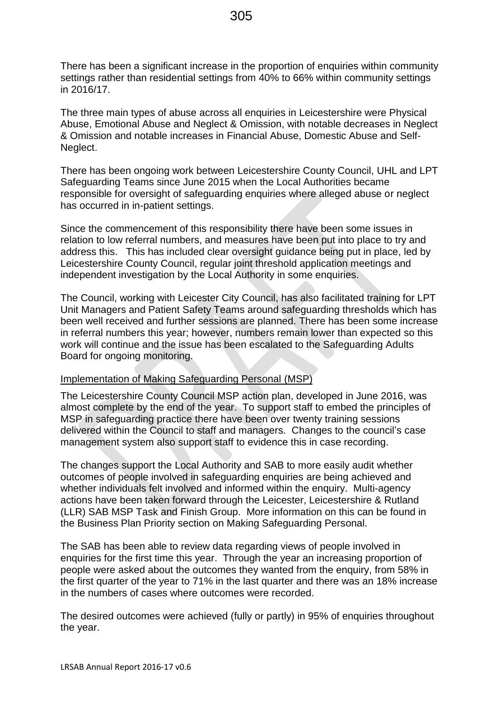There has been a significant increase in the proportion of enquiries within community settings rather than residential settings from 40% to 66% within community settings in 2016/17.

The three main types of abuse across all enquiries in Leicestershire were Physical Abuse, Emotional Abuse and Neglect & Omission, with notable decreases in Neglect & Omission and notable increases in Financial Abuse, Domestic Abuse and Self-Neglect.

There has been ongoing work between Leicestershire County Council, UHL and LPT Safeguarding Teams since June 2015 when the Local Authorities became responsible for oversight of safeguarding enquiries where alleged abuse or neglect has occurred in in-patient settings.

Since the commencement of this responsibility there have been some issues in relation to low referral numbers, and measures have been put into place to try and address this. This has included clear oversight guidance being put in place, led by Leicestershire County Council, regular joint threshold application meetings and independent investigation by the Local Authority in some enquiries.

The Council, working with Leicester City Council, has also facilitated training for LPT Unit Managers and Patient Safety Teams around safeguarding thresholds which has been well received and further sessions are planned. There has been some increase in referral numbers this year; however, numbers remain lower than expected so this work will continue and the issue has been escalated to the Safeguarding Adults Board for ongoing monitoring.

### Implementation of Making Safeguarding Personal (MSP)

The Leicestershire County Council MSP action plan, developed in June 2016, was almost complete by the end of the year. To support staff to embed the principles of MSP in safeguarding practice there have been over twenty training sessions delivered within the Council to staff and managers. Changes to the council's case management system also support staff to evidence this in case recording.

The changes support the Local Authority and SAB to more easily audit whether outcomes of people involved in safeguarding enquiries are being achieved and whether individuals felt involved and informed within the enquiry. Multi-agency actions have been taken forward through the Leicester, Leicestershire & Rutland (LLR) SAB MSP Task and Finish Group. More information on this can be found in the Business Plan Priority section on Making Safeguarding Personal.

The SAB has been able to review data regarding views of people involved in enquiries for the first time this year. Through the year an increasing proportion of people were asked about the outcomes they wanted from the enquiry, from 58% in the first quarter of the year to 71% in the last quarter and there was an 18% increase in the numbers of cases where outcomes were recorded.

The desired outcomes were achieved (fully or partly) in 95% of enquiries throughout the year.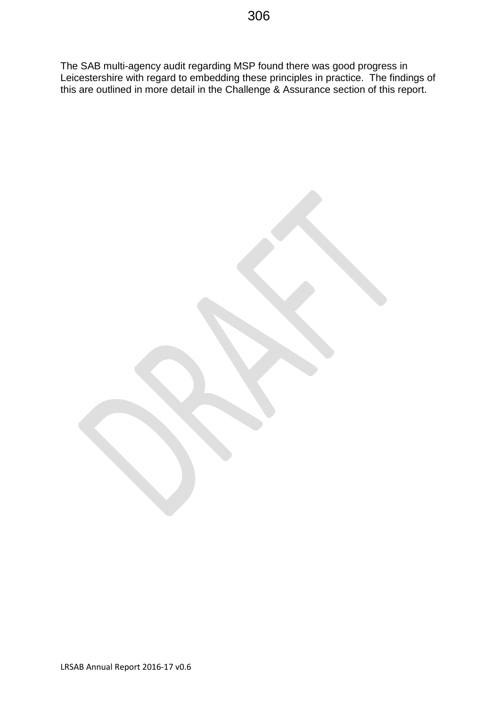The SAB multi-agency audit regarding MSP found there was good progress in Leicestershire with regard to embedding these principles in practice. The findings of this are outlined in more detail in the Challenge & Assurance section of this report.

LRSAB Annual Report 2016-17 v0.6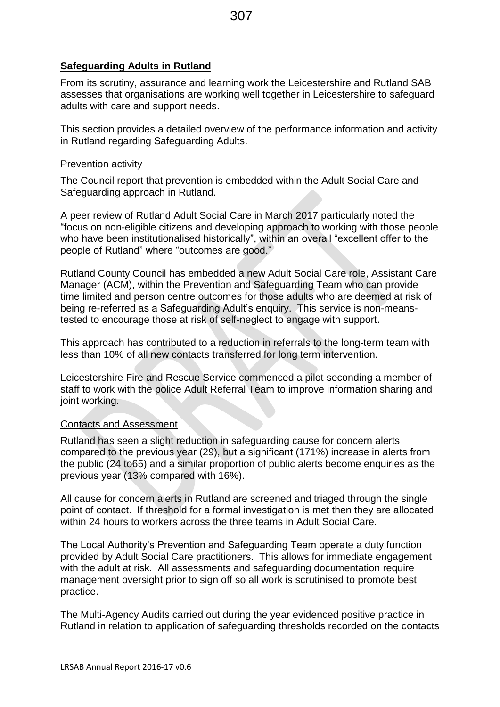### **Safeguarding Adults in Rutland**

From its scrutiny, assurance and learning work the Leicestershire and Rutland SAB assesses that organisations are working well together in Leicestershire to safeguard adults with care and support needs.

This section provides a detailed overview of the performance information and activity in Rutland regarding Safeguarding Adults.

### Prevention activity

The Council report that prevention is embedded within the Adult Social Care and Safeguarding approach in Rutland.

A peer review of Rutland Adult Social Care in March 2017 particularly noted the "focus on non-eligible citizens and developing approach to working with those people who have been institutionalised historically", within an overall "excellent offer to the people of Rutland" where "outcomes are good."

Rutland County Council has embedded a new Adult Social Care role, Assistant Care Manager (ACM), within the Prevention and Safeguarding Team who can provide time limited and person centre outcomes for those adults who are deemed at risk of being re-referred as a Safeguarding Adult's enquiry. This service is non-meanstested to encourage those at risk of self-neglect to engage with support.

This approach has contributed to a reduction in referrals to the long-term team with less than 10% of all new contacts transferred for long term intervention.

Leicestershire Fire and Rescue Service commenced a pilot seconding a member of staff to work with the police Adult Referral Team to improve information sharing and joint working.

### Contacts and Assessment

Rutland has seen a slight reduction in safeguarding cause for concern alerts compared to the previous year (29), but a significant (171%) increase in alerts from the public (24 to65) and a similar proportion of public alerts become enquiries as the previous year (13% compared with 16%).

All cause for concern alerts in Rutland are screened and triaged through the single point of contact. If threshold for a formal investigation is met then they are allocated within 24 hours to workers across the three teams in Adult Social Care.

The Local Authority's Prevention and Safeguarding Team operate a duty function provided by Adult Social Care practitioners. This allows for immediate engagement with the adult at risk. All assessments and safeguarding documentation require management oversight prior to sign off so all work is scrutinised to promote best practice.

The Multi-Agency Audits carried out during the year evidenced positive practice in Rutland in relation to application of safeguarding thresholds recorded on the contacts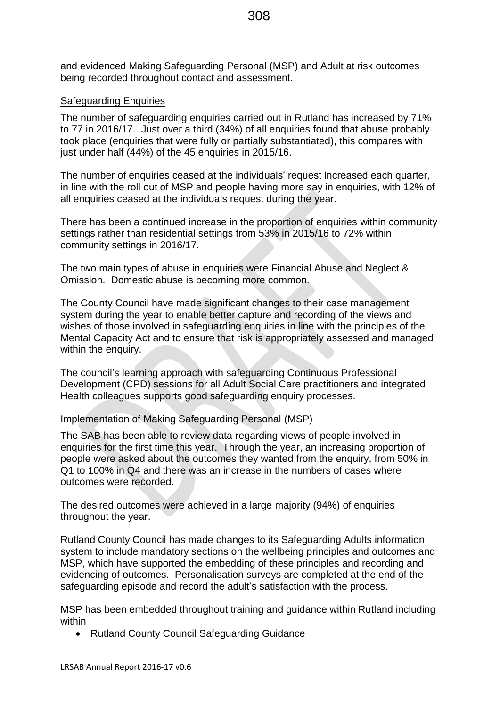and evidenced Making Safeguarding Personal (MSP) and Adult at risk outcomes being recorded throughout contact and assessment.

### Safeguarding Enquiries

The number of safeguarding enquiries carried out in Rutland has increased by 71% to 77 in 2016/17. Just over a third (34%) of all enquiries found that abuse probably took place (enquiries that were fully or partially substantiated), this compares with just under half (44%) of the 45 enquiries in 2015/16.

The number of enquiries ceased at the individuals' request increased each quarter, in line with the roll out of MSP and people having more say in enquiries, with 12% of all enquiries ceased at the individuals request during the year.

There has been a continued increase in the proportion of enquiries within community settings rather than residential settings from 53% in 2015/16 to 72% within community settings in 2016/17.

The two main types of abuse in enquiries were Financial Abuse and Neglect & Omission. Domestic abuse is becoming more common.

The County Council have made significant changes to their case management system during the year to enable better capture and recording of the views and wishes of those involved in safeguarding enquiries in line with the principles of the Mental Capacity Act and to ensure that risk is appropriately assessed and managed within the enquiry.

The council's learning approach with safeguarding Continuous Professional Development (CPD) sessions for all Adult Social Care practitioners and integrated Health colleagues supports good safeguarding enquiry processes.

### Implementation of Making Safeguarding Personal (MSP)

The SAB has been able to review data regarding views of people involved in enquiries for the first time this year. Through the year, an increasing proportion of people were asked about the outcomes they wanted from the enquiry, from 50% in Q1 to 100% in Q4 and there was an increase in the numbers of cases where outcomes were recorded.

The desired outcomes were achieved in a large majority (94%) of enquiries throughout the year.

Rutland County Council has made changes to its Safeguarding Adults information system to include mandatory sections on the wellbeing principles and outcomes and MSP, which have supported the embedding of these principles and recording and evidencing of outcomes. Personalisation surveys are completed at the end of the safeguarding episode and record the adult's satisfaction with the process.

MSP has been embedded throughout training and guidance within Rutland including within

Rutland County Council Safeguarding Guidance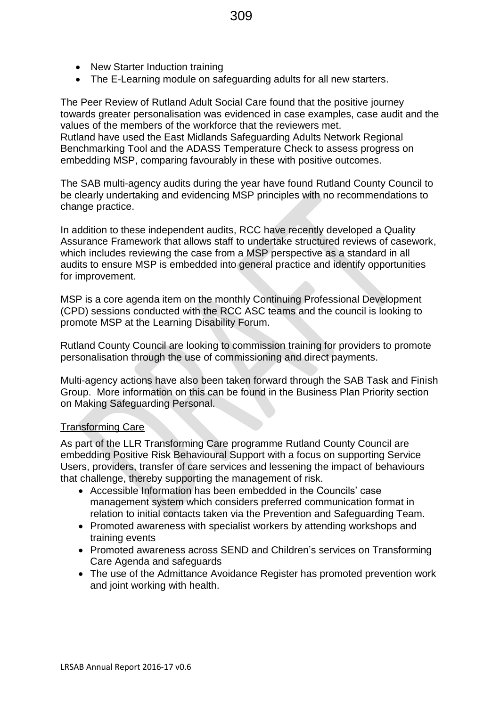- New Starter Induction training
- The E-Learning module on safeguarding adults for all new starters.

The Peer Review of Rutland Adult Social Care found that the positive journey towards greater personalisation was evidenced in case examples, case audit and the values of the members of the workforce that the reviewers met. Rutland have used the East Midlands Safeguarding Adults Network Regional Benchmarking Tool and the ADASS Temperature Check to assess progress on

embedding MSP, comparing favourably in these with positive outcomes.

The SAB multi-agency audits during the year have found Rutland County Council to be clearly undertaking and evidencing MSP principles with no recommendations to change practice.

In addition to these independent audits, RCC have recently developed a Quality Assurance Framework that allows staff to undertake structured reviews of casework, which includes reviewing the case from a MSP perspective as a standard in all audits to ensure MSP is embedded into general practice and identify opportunities for improvement.

MSP is a core agenda item on the monthly Continuing Professional Development (CPD) sessions conducted with the RCC ASC teams and the council is looking to promote MSP at the Learning Disability Forum.

Rutland County Council are looking to commission training for providers to promote personalisation through the use of commissioning and direct payments.

Multi-agency actions have also been taken forward through the SAB Task and Finish Group. More information on this can be found in the Business Plan Priority section on Making Safeguarding Personal.

### Transforming Care

As part of the LLR Transforming Care programme Rutland County Council are embedding Positive Risk Behavioural Support with a focus on supporting Service Users, providers, transfer of care services and lessening the impact of behaviours that challenge, thereby supporting the management of risk.

- Accessible Information has been embedded in the Councils' case management system which considers preferred communication format in relation to initial contacts taken via the Prevention and Safeguarding Team.
- Promoted awareness with specialist workers by attending workshops and training events
- Promoted awareness across SEND and Children's services on Transforming Care Agenda and safeguards
- The use of the Admittance Avoidance Register has promoted prevention work and joint working with health.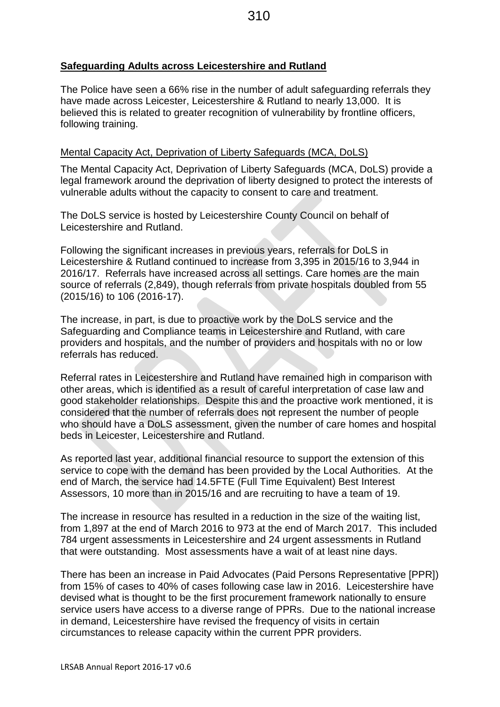### **Safeguarding Adults across Leicestershire and Rutland**

The Police have seen a 66% rise in the number of adult safeguarding referrals they have made across Leicester, Leicestershire & Rutland to nearly 13,000. It is believed this is related to greater recognition of vulnerability by frontline officers, following training.

### Mental Capacity Act, Deprivation of Liberty Safeguards (MCA, DoLS)

The Mental Capacity Act, Deprivation of Liberty Safeguards (MCA, DoLS) provide a legal framework around the deprivation of liberty designed to protect the interests of vulnerable adults without the capacity to consent to care and treatment.

The DoLS service is hosted by Leicestershire County Council on behalf of Leicestershire and Rutland.

Following the significant increases in previous years, referrals for DoLS in Leicestershire & Rutland continued to increase from 3,395 in 2015/16 to 3,944 in 2016/17. Referrals have increased across all settings. Care homes are the main source of referrals (2,849), though referrals from private hospitals doubled from 55 (2015/16) to 106 (2016-17).

The increase, in part, is due to proactive work by the DoLS service and the Safeguarding and Compliance teams in Leicestershire and Rutland, with care providers and hospitals, and the number of providers and hospitals with no or low referrals has reduced.

Referral rates in Leicestershire and Rutland have remained high in comparison with other areas, which is identified as a result of careful interpretation of case law and good stakeholder relationships. Despite this and the proactive work mentioned, it is considered that the number of referrals does not represent the number of people who should have a DoLS assessment, given the number of care homes and hospital beds in Leicester, Leicestershire and Rutland.

As reported last year, additional financial resource to support the extension of this service to cope with the demand has been provided by the Local Authorities. At the end of March, the service had 14.5FTE (Full Time Equivalent) Best Interest Assessors, 10 more than in 2015/16 and are recruiting to have a team of 19.

The increase in resource has resulted in a reduction in the size of the waiting list, from 1,897 at the end of March 2016 to 973 at the end of March 2017. This included 784 urgent assessments in Leicestershire and 24 urgent assessments in Rutland that were outstanding. Most assessments have a wait of at least nine days.

There has been an increase in Paid Advocates (Paid Persons Representative [PPR]) from 15% of cases to 40% of cases following case law in 2016. Leicestershire have devised what is thought to be the first procurement framework nationally to ensure service users have access to a diverse range of PPRs. Due to the national increase in demand, Leicestershire have revised the frequency of visits in certain circumstances to release capacity within the current PPR providers.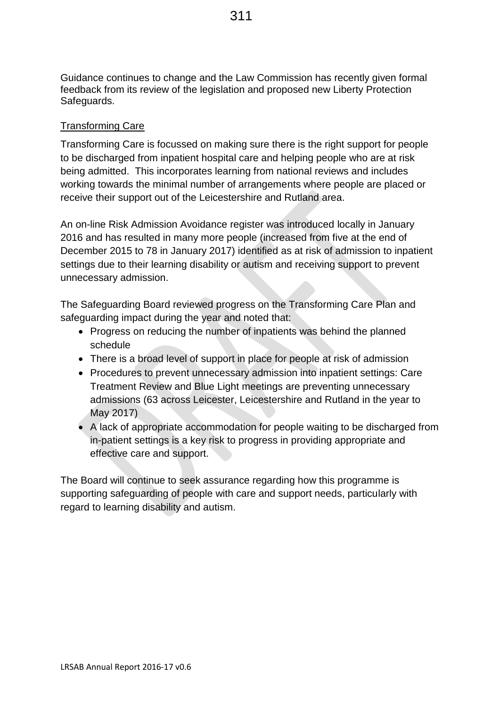Guidance continues to change and the Law Commission has recently given formal feedback from its review of the legislation and proposed new Liberty Protection Safeguards.

### Transforming Care

Transforming Care is focussed on making sure there is the right support for people to be discharged from inpatient hospital care and helping people who are at risk being admitted. This incorporates learning from national reviews and includes working towards the minimal number of arrangements where people are placed or receive their support out of the Leicestershire and Rutland area.

An on-line Risk Admission Avoidance register was introduced locally in January 2016 and has resulted in many more people (increased from five at the end of December 2015 to 78 in January 2017) identified as at risk of admission to inpatient settings due to their learning disability or autism and receiving support to prevent unnecessary admission.

The Safeguarding Board reviewed progress on the Transforming Care Plan and safeguarding impact during the year and noted that:

- Progress on reducing the number of inpatients was behind the planned schedule
- There is a broad level of support in place for people at risk of admission
- Procedures to prevent unnecessary admission into inpatient settings: Care Treatment Review and Blue Light meetings are preventing unnecessary admissions (63 across Leicester, Leicestershire and Rutland in the year to May 2017)
- A lack of appropriate accommodation for people waiting to be discharged from in-patient settings is a key risk to progress in providing appropriate and effective care and support.

The Board will continue to seek assurance regarding how this programme is supporting safeguarding of people with care and support needs, particularly with regard to learning disability and autism.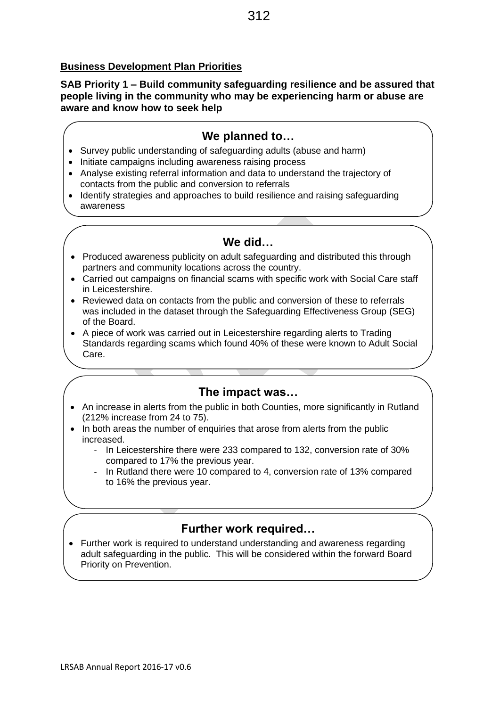# **Business Development Plan Priorities**

**SAB Priority 1 – Build community safeguarding resilience and be assured that people living in the community who may be experiencing harm or abuse are aware and know how to seek help**

# **We planned to…**

- Survey public understanding of safeguarding adults (abuse and harm)
- Initiate campaigns including awareness raising process
- Analyse existing referral information and data to understand the trajectory of contacts from the public and conversion to referrals
- Identify strategies and approaches to build resilience and raising safeguarding awareness

# **We did…**

- Produced awareness publicity on adult safeguarding and distributed this through partners and community locations across the country.
- Carried out campaigns on financial scams with specific work with Social Care staff in Leicestershire.
- Reviewed data on contacts from the public and conversion of these to referrals was included in the dataset through the Safeguarding Effectiveness Group (SEG) of the Board.
- A piece of work was carried out in Leicestershire regarding alerts to Trading Standards regarding scams which found 40% of these were known to Adult Social Care.

# **The impact was…**

- An increase in alerts from the public in both Counties, more significantly in Rutland (212% increase from 24 to 75).
- In both areas the number of enquiries that arose from alerts from the public increased.
	- In Leicestershire there were 233 compared to 132, conversion rate of 30% compared to 17% the previous year.
	- In Rutland there were 10 compared to 4, conversion rate of 13% compared to 16% the previous year.

# **Further work required…**

• Further work is required to understand understanding and awareness regarding adult safeguarding in the public. This will be considered within the forward Board Priority on Prevention.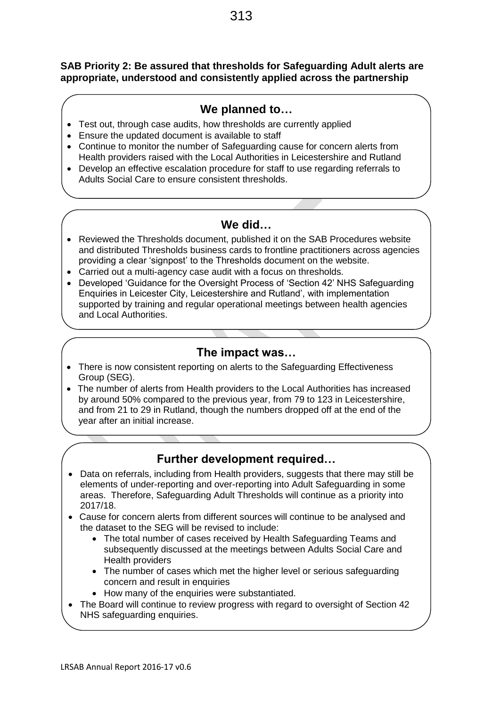### **SAB Priority 2: Be assured that thresholds for Safeguarding Adult alerts are appropriate, understood and consistently applied across the partnership**

# **We planned to…**

- Test out, through case audits, how thresholds are currently applied
- Ensure the updated document is available to staff
- Continue to monitor the number of Safeguarding cause for concern alerts from Health providers raised with the Local Authorities in Leicestershire and Rutland
- Develop an effective escalation procedure for staff to use regarding referrals to Adults Social Care to ensure consistent thresholds.

# **We did…**

- Reviewed the Thresholds document, published it on the SAB Procedures website and distributed Thresholds business cards to frontline practitioners across agencies providing a clear 'signpost' to the Thresholds document on the website.
- Carried out a multi-agency case audit with a focus on thresholds.
- Developed 'Guidance for the Oversight Process of 'Section 42' NHS Safeguarding Enquiries in Leicester City, Leicestershire and Rutland', with implementation supported by training and regular operational meetings between health agencies and Local Authorities.

# **The impact was…**

- There is now consistent reporting on alerts to the Safeguarding Effectiveness Group (SEG).
- The number of alerts from Health providers to the Local Authorities has increased by around 50% compared to the previous year, from 79 to 123 in Leicestershire, and from 21 to 29 in Rutland, though the numbers dropped off at the end of the year after an initial increase.

- Data on referrals, including from Health providers, suggests that there may still be elements of under-reporting and over-reporting into Adult Safeguarding in some areas. Therefore, Safeguarding Adult Thresholds will continue as a priority into 2017/18.
- Cause for concern alerts from different sources will continue to be analysed and the dataset to the SEG will be revised to include:
	- The total number of cases received by Health Safeguarding Teams and subsequently discussed at the meetings between Adults Social Care and Health providers
	- The number of cases which met the higher level or serious safeguarding concern and result in enquiries
	- How many of the enquiries were substantiated.
- The Board will continue to review progress with regard to oversight of Section 42 NHS safeguarding enquiries.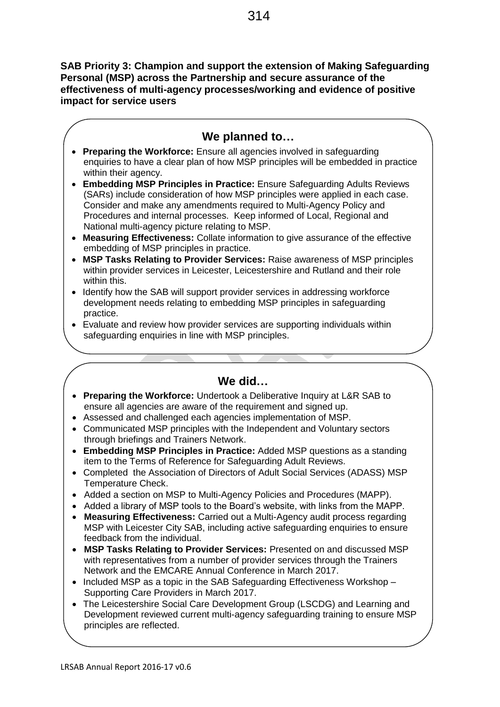**SAB Priority 3: Champion and support the extension of Making Safeguarding Personal (MSP) across the Partnership and secure assurance of the effectiveness of multi-agency processes/working and evidence of positive impact for service users**

# **We planned to…**

- **Preparing the Workforce:** Ensure all agencies involved in safeguarding enquiries to have a clear plan of how MSP principles will be embedded in practice within their agency.
- **Embedding MSP Principles in Practice:** Ensure Safeguarding Adults Reviews (SARs) include consideration of how MSP principles were applied in each case. Consider and make any amendments required to Multi-Agency Policy and Procedures and internal processes. Keep informed of Local, Regional and National multi-agency picture relating to MSP.
- **Measuring Effectiveness:** Collate information to give assurance of the effective embedding of MSP principles in practice.
- **MSP Tasks Relating to Provider Services:** Raise awareness of MSP principles within provider services in Leicester, Leicestershire and Rutland and their role within this.
- Identify how the SAB will support provider services in addressing workforce development needs relating to embedding MSP principles in safeguarding practice.
- Evaluate and review how provider services are supporting individuals within safeguarding enquiries in line with MSP principles.

# **We did…**

- **Preparing the Workforce:** Undertook a Deliberative Inquiry at L&R SAB to ensure all agencies are aware of the requirement and signed up.
- Assessed and challenged each agencies implementation of MSP.
- Communicated MSP principles with the Independent and Voluntary sectors through briefings and Trainers Network.
- **Embedding MSP Principles in Practice:** Added MSP questions as a standing item to the Terms of Reference for Safeguarding Adult Reviews.
- Completed the Association of Directors of Adult Social Services (ADASS) MSP Temperature Check.
- Added a section on MSP to Multi-Agency Policies and Procedures (MAPP).
- Added a library of MSP tools to the Board's website, with links from the MAPP.
- **Measuring Effectiveness:** Carried out a Multi-Agency audit process regarding MSP with Leicester City SAB, including active safeguarding enquiries to ensure feedback from the individual.
- **MSP Tasks Relating to Provider Services:** Presented on and discussed MSP with representatives from a number of provider services through the Trainers Network and the EMCARE Annual Conference in March 2017.
- $\bullet$  Included MSP as a topic in the SAB Safeguarding Effectiveness Workshop Supporting Care Providers in March 2017.
- The Leicestershire Social Care Development Group (LSCDG) and Learning and Development reviewed current multi-agency safeguarding training to ensure MSP principles are reflected.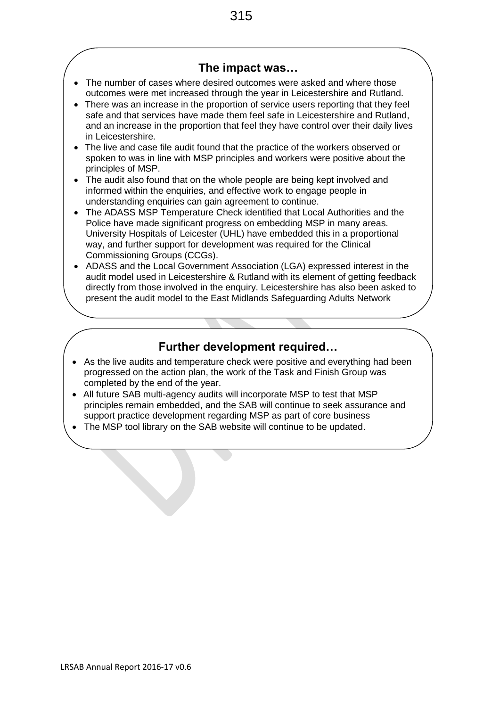# **The impact was…**

- The number of cases where desired outcomes were asked and where those outcomes were met increased through the year in Leicestershire and Rutland.
- There was an increase in the proportion of service users reporting that they feel safe and that services have made them feel safe in Leicestershire and Rutland, and an increase in the proportion that feel they have control over their daily lives in Leicestershire.
- The live and case file audit found that the practice of the workers observed or spoken to was in line with MSP principles and workers were positive about the principles of MSP.
- The audit also found that on the whole people are being kept involved and informed within the enquiries, and effective work to engage people in understanding enquiries can gain agreement to continue.
- The ADASS MSP Temperature Check identified that Local Authorities and the Police have made significant progress on embedding MSP in many areas. University Hospitals of Leicester (UHL) have embedded this in a proportional way, and further support for development was required for the Clinical Commissioning Groups (CCGs).
- ADASS and the Local Government Association (LGA) expressed interest in the audit model used in Leicestershire & Rutland with its element of getting feedback directly from those involved in the enquiry. Leicestershire has also been asked to present the audit model to the East Midlands Safeguarding Adults Network

- As the live audits and temperature check were positive and everything had been progressed on the action plan, the work of the Task and Finish Group was completed by the end of the year.
- All future SAB multi-agency audits will incorporate MSP to test that MSP principles remain embedded, and the SAB will continue to seek assurance and support practice development regarding MSP as part of core business
- The MSP tool library on the SAB website will continue to be updated.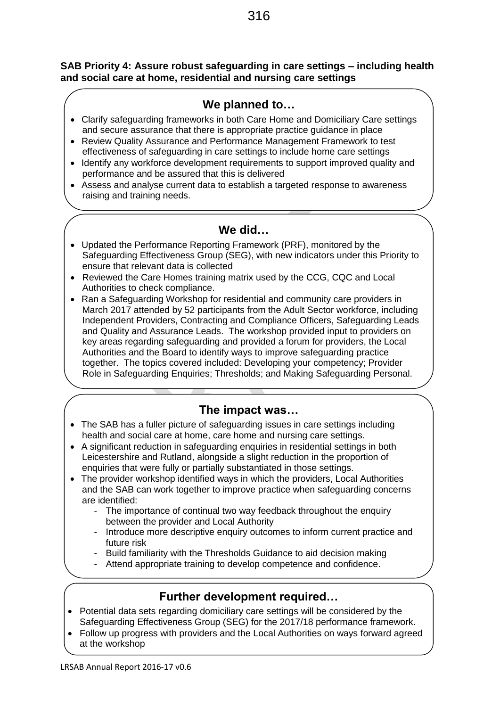### **SAB Priority 4: Assure robust safeguarding in care settings – including health and social care at home, residential and nursing care settings**

# **We planned to…**

- Clarify safeguarding frameworks in both Care Home and Domiciliary Care settings and secure assurance that there is appropriate practice guidance in place
- Review Quality Assurance and Performance Management Framework to test effectiveness of safeguarding in care settings to include home care settings
- Identify any workforce development requirements to support improved quality and performance and be assured that this is delivered
- Assess and analyse current data to establish a targeted response to awareness raising and training needs.

# **We did…**

- Updated the Performance Reporting Framework (PRF), monitored by the Safeguarding Effectiveness Group (SEG), with new indicators under this Priority to ensure that relevant data is collected
- Reviewed the Care Homes training matrix used by the CCG, CQC and Local Authorities to check compliance.
- Ran a Safeguarding Workshop for residential and community care providers in March 2017 attended by 52 participants from the Adult Sector workforce, including Independent Providers, Contracting and Compliance Officers, Safeguarding Leads and Quality and Assurance Leads. The workshop provided input to providers on key areas regarding safeguarding and provided a forum for providers, the Local Authorities and the Board to identify ways to improve safeguarding practice together. The topics covered included: Developing your competency; Provider Role in Safeguarding Enquiries; Thresholds; and Making Safeguarding Personal.

# **The impact was…**

- The SAB has a fuller picture of safeguarding issues in care settings including health and social care at home, care home and nursing care settings.
- A significant reduction in safeguarding enquiries in residential settings in both Leicestershire and Rutland, alongside a slight reduction in the proportion of enquiries that were fully or partially substantiated in those settings.
- The provider workshop identified ways in which the providers, Local Authorities and the SAB can work together to improve practice when safeguarding concerns are identified:
	- The importance of continual two way feedback throughout the enquiry between the provider and Local Authority
	- Introduce more descriptive enquiry outcomes to inform current practice and future risk
	- Build familiarity with the Thresholds Guidance to aid decision making
	- Attend appropriate training to develop competence and confidence.

- Potential data sets regarding domiciliary care settings will be considered by the Safeguarding Effectiveness Group (SEG) for the 2017/18 performance framework.
- Follow up progress with providers and the Local Authorities on ways forward agreed at the workshop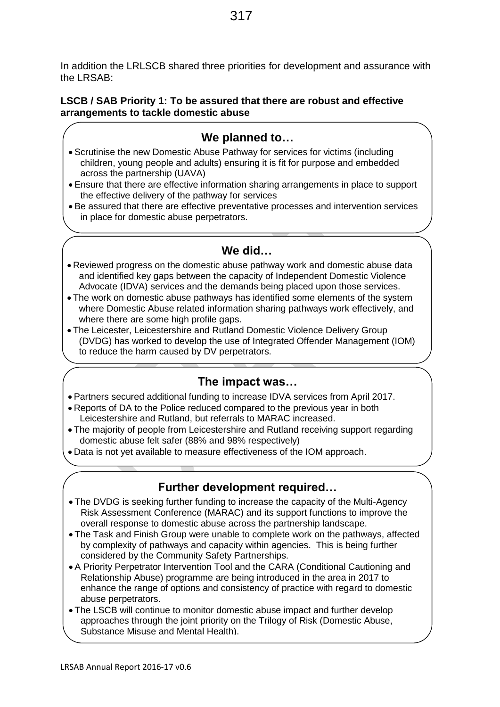In addition the LRLSCB shared three priorities for development and assurance with the LRSAB:

### **LSCB / SAB Priority 1: To be assured that there are robust and effective arrangements to tackle domestic abuse**

# **We planned to…**

- Scrutinise the new Domestic Abuse Pathway for services for victims (including children, young people and adults) ensuring it is fit for purpose and embedded across the partnership (UAVA)
- Ensure that there are effective information sharing arrangements in place to support the effective delivery of the pathway for services
- Be assured that there are effective preventative processes and intervention services in place for domestic abuse perpetrators.

# **We did…**

- Reviewed progress on the domestic abuse pathway work and domestic abuse data and identified key gaps between the capacity of Independent Domestic Violence Advocate (IDVA) services and the demands being placed upon those services.
- The work on domestic abuse pathways has identified some elements of the system where Domestic Abuse related information sharing pathways work effectively, and where there are some high profile gaps.
- The Leicester, Leicestershire and Rutland Domestic Violence Delivery Group (DVDG) has worked to develop the use of Integrated Offender Management (IOM) to reduce the harm caused by DV perpetrators.

### **The impact was…**

- Partners secured additional funding to increase IDVA services from April 2017.
- Reports of DA to the Police reduced compared to the previous year in both Leicestershire and Rutland, but referrals to MARAC increased.
- The majority of people from Leicestershire and Rutland receiving support regarding domestic abuse felt safer (88% and 98% respectively)
- Data is not yet available to measure effectiveness of the IOM approach.

- The DVDG is seeking further funding to increase the capacity of the Multi-Agency Risk Assessment Conference (MARAC) and its support functions to improve the overall response to domestic abuse across the partnership landscape.
- The Task and Finish Group were unable to complete work on the pathways, affected by complexity of pathways and capacity within agencies. This is being further considered by the Community Safety Partnerships.
- A Priority Perpetrator Intervention Tool and the CARA (Conditional Cautioning and Relationship Abuse) programme are being introduced in the area in 2017 to enhance the range of options and consistency of practice with regard to domestic abuse perpetrators.
- The LSCB will continue to monitor domestic abuse impact and further develop approaches through the joint priority on the Trilogy of Risk (Domestic Abuse, Substance Misuse and Mental Health).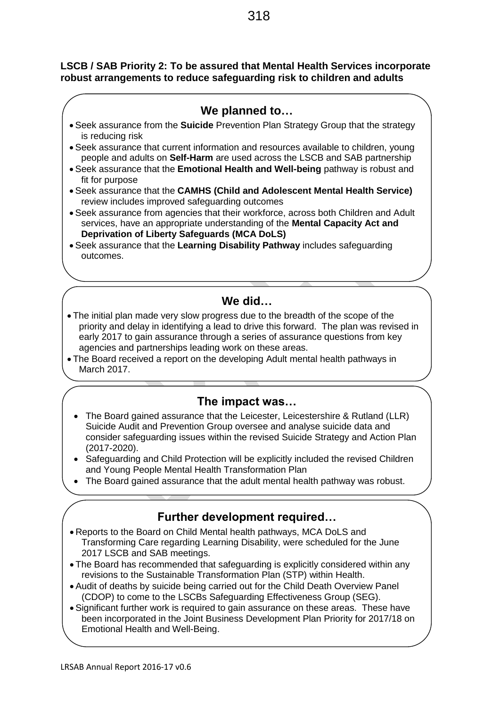### **LSCB / SAB Priority 2: To be assured that Mental Health Services incorporate robust arrangements to reduce safeguarding risk to children and adults**

# **We planned to…**

- Seek assurance from the **Suicide** Prevention Plan Strategy Group that the strategy is reducing risk
- Seek assurance that current information and resources available to children, young people and adults on **Self-Harm** are used across the LSCB and SAB partnership
- Seek assurance that the **Emotional Health and Well-being** pathway is robust and fit for purpose
- Seek assurance that the **CAMHS (Child and Adolescent Mental Health Service)** review includes improved safeguarding outcomes
- Seek assurance from agencies that their workforce, across both Children and Adult services, have an appropriate understanding of the **Mental Capacity Act and Deprivation of Liberty Safeguards (MCA DoLS)**
- Seek assurance that the **Learning Disability Pathway** includes safeguarding outcomes.

# **We did…**

- The initial plan made very slow progress due to the breadth of the scope of the priority and delay in identifying a lead to drive this forward. The plan was revised in early 2017 to gain assurance through a series of assurance questions from key agencies and partnerships leading work on these areas.
- The Board received a report on the developing Adult mental health pathways in March 2017.

# **The impact was…**

- The Board gained assurance that the Leicester, Leicestershire & Rutland (LLR) Suicide Audit and Prevention Group oversee and analyse suicide data and consider safeguarding issues within the revised Suicide Strategy and Action Plan (2017-2020).
- Safeguarding and Child Protection will be explicitly included the revised Children and Young People Mental Health Transformation Plan
- The Board gained assurance that the adult mental health pathway was robust.

- Reports to the Board on Child Mental health pathways, MCA DoLS and Transforming Care regarding Learning Disability, were scheduled for the June 2017 LSCB and SAB meetings.
- The Board has recommended that safeguarding is explicitly considered within any revisions to the Sustainable Transformation Plan (STP) within Health.
- Audit of deaths by suicide being carried out for the Child Death Overview Panel (CDOP) to come to the LSCBs Safeguarding Effectiveness Group (SEG).
- Significant further work is required to gain assurance on these areas. These have been incorporated in the Joint Business Development Plan Priority for 2017/18 on Emotional Health and Well-Being.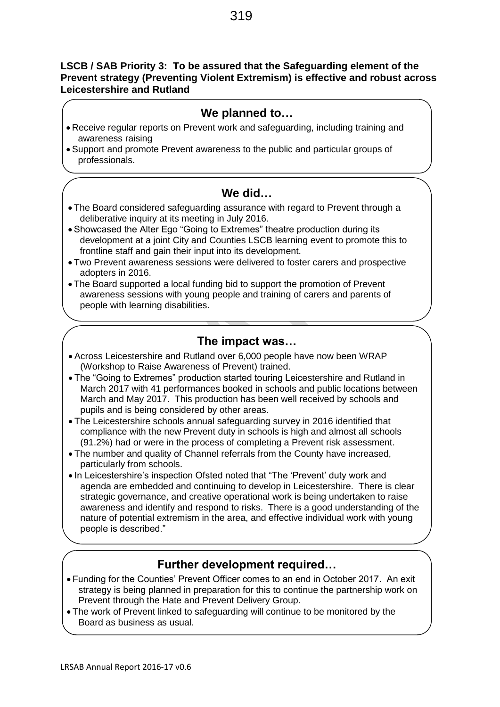### **LSCB / SAB Priority 3: To be assured that the Safeguarding element of the Prevent strategy (Preventing Violent Extremism) is effective and robust across Leicestershire and Rutland**

# **We planned to…**

- Receive regular reports on Prevent work and safeguarding, including training and awareness raising
- Support and promote Prevent awareness to the public and particular groups of professionals.

# **We did…**

- The Board considered safeguarding assurance with regard to Prevent through a deliberative inquiry at its meeting in July 2016.
- Showcased the Alter Ego "Going to Extremes" theatre production during its development at a joint City and Counties LSCB learning event to promote this to frontline staff and gain their input into its development.
- Two Prevent awareness sessions were delivered to foster carers and prospective adopters in 2016.
- The Board supported a local funding bid to support the promotion of Prevent awareness sessions with young people and training of carers and parents of people with learning disabilities.

# **The impact was…**

- Across Leicestershire and Rutland over 6,000 people have now been WRAP (Workshop to Raise Awareness of Prevent) trained.
- The "Going to Extremes" production started touring Leicestershire and Rutland in March 2017 with 41 performances booked in schools and public locations between March and May 2017. This production has been well received by schools and pupils and is being considered by other areas.
- The Leicestershire schools annual safeguarding survey in 2016 identified that compliance with the new Prevent duty in schools is high and almost all schools (91.2%) had or were in the process of completing a Prevent risk assessment.
- The number and quality of Channel referrals from the County have increased, particularly from schools.
- In Leicestershire's inspection Ofsted noted that "The 'Prevent' duty work and agenda are embedded and continuing to develop in Leicestershire. There is clear strategic governance, and creative operational work is being undertaken to raise awareness and identify and respond to risks. There is a good understanding of the nature of potential extremism in the area, and effective individual work with young people is described."

- Funding for the Counties' Prevent Officer comes to an end in October 2017. An exit strategy is being planned in preparation for this to continue the partnership work on Prevent through the Hate and Prevent Delivery Group.
- The work of Prevent linked to safeguarding will continue to be monitored by the Board as business as usual.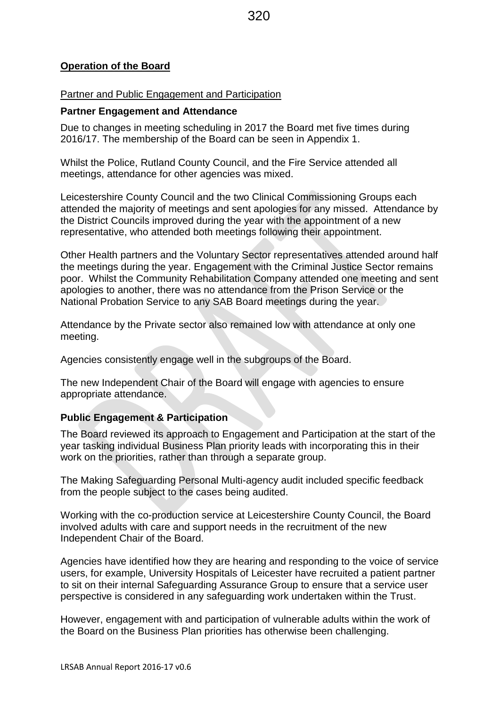### **Operation of the Board**

### Partner and Public Engagement and Participation

### **Partner Engagement and Attendance**

Due to changes in meeting scheduling in 2017 the Board met five times during 2016/17. The membership of the Board can be seen in Appendix 1.

Whilst the Police, Rutland County Council, and the Fire Service attended all meetings, attendance for other agencies was mixed.

Leicestershire County Council and the two Clinical Commissioning Groups each attended the majority of meetings and sent apologies for any missed. Attendance by the District Councils improved during the year with the appointment of a new representative, who attended both meetings following their appointment.

Other Health partners and the Voluntary Sector representatives attended around half the meetings during the year. Engagement with the Criminal Justice Sector remains poor. Whilst the Community Rehabilitation Company attended one meeting and sent apologies to another, there was no attendance from the Prison Service or the National Probation Service to any SAB Board meetings during the year.

Attendance by the Private sector also remained low with attendance at only one meeting.

Agencies consistently engage well in the subgroups of the Board.

The new Independent Chair of the Board will engage with agencies to ensure appropriate attendance.

### **Public Engagement & Participation**

The Board reviewed its approach to Engagement and Participation at the start of the year tasking individual Business Plan priority leads with incorporating this in their work on the priorities, rather than through a separate group.

The Making Safeguarding Personal Multi-agency audit included specific feedback from the people subject to the cases being audited.

Working with the co-production service at Leicestershire County Council, the Board involved adults with care and support needs in the recruitment of the new Independent Chair of the Board.

Agencies have identified how they are hearing and responding to the voice of service users, for example, University Hospitals of Leicester have recruited a patient partner to sit on their internal Safeguarding Assurance Group to ensure that a service user perspective is considered in any safeguarding work undertaken within the Trust.

However, engagement with and participation of vulnerable adults within the work of the Board on the Business Plan priorities has otherwise been challenging.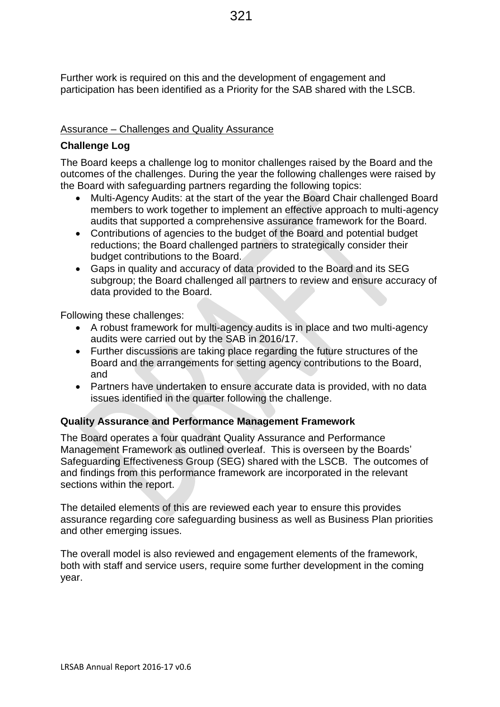Further work is required on this and the development of engagement and participation has been identified as a Priority for the SAB shared with the LSCB.

### Assurance – Challenges and Quality Assurance

### **Challenge Log**

The Board keeps a challenge log to monitor challenges raised by the Board and the outcomes of the challenges. During the year the following challenges were raised by the Board with safeguarding partners regarding the following topics:

- Multi-Agency Audits: at the start of the year the Board Chair challenged Board members to work together to implement an effective approach to multi-agency audits that supported a comprehensive assurance framework for the Board.
- Contributions of agencies to the budget of the Board and potential budget reductions; the Board challenged partners to strategically consider their budget contributions to the Board.
- Gaps in quality and accuracy of data provided to the Board and its SEG subgroup; the Board challenged all partners to review and ensure accuracy of data provided to the Board.

Following these challenges:

- A robust framework for multi-agency audits is in place and two multi-agency audits were carried out by the SAB in 2016/17.
- Further discussions are taking place regarding the future structures of the Board and the arrangements for setting agency contributions to the Board, and
- Partners have undertaken to ensure accurate data is provided, with no data issues identified in the quarter following the challenge.

### **Quality Assurance and Performance Management Framework**

The Board operates a four quadrant Quality Assurance and Performance Management Framework as outlined overleaf. This is overseen by the Boards' Safeguarding Effectiveness Group (SEG) shared with the LSCB. The outcomes of and findings from this performance framework are incorporated in the relevant sections within the report.

The detailed elements of this are reviewed each year to ensure this provides assurance regarding core safeguarding business as well as Business Plan priorities and other emerging issues.

The overall model is also reviewed and engagement elements of the framework, both with staff and service users, require some further development in the coming year.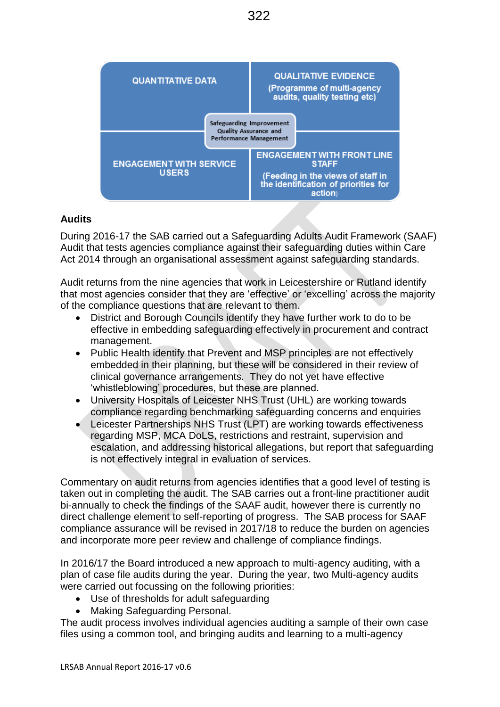

### **Audits**

During 2016-17 the SAB carried out a Safeguarding Adults Audit Framework (SAAF) Audit that tests agencies compliance against their safeguarding duties within Care Act 2014 through an organisational assessment against safeguarding standards.

Audit returns from the nine agencies that work in Leicestershire or Rutland identify that most agencies consider that they are 'effective' or 'excelling' across the majority of the compliance questions that are relevant to them.

- District and Borough Councils identify they have further work to do to be effective in embedding safeguarding effectively in procurement and contract management.
- Public Health identify that Prevent and MSP principles are not effectively embedded in their planning, but these will be considered in their review of clinical governance arrangements. They do not yet have effective 'whistleblowing' procedures, but these are planned.
- University Hospitals of Leicester NHS Trust (UHL) are working towards compliance regarding benchmarking safeguarding concerns and enquiries
- Leicester Partnerships NHS Trust (LPT) are working towards effectiveness regarding MSP, MCA DoLS, restrictions and restraint, supervision and escalation, and addressing historical allegations, but report that safeguarding is not effectively integral in evaluation of services.

Commentary on audit returns from agencies identifies that a good level of testing is taken out in completing the audit. The SAB carries out a front-line practitioner audit bi-annually to check the findings of the SAAF audit, however there is currently no direct challenge element to self-reporting of progress. The SAB process for SAAF compliance assurance will be revised in 2017/18 to reduce the burden on agencies and incorporate more peer review and challenge of compliance findings.

In 2016/17 the Board introduced a new approach to multi-agency auditing, with a plan of case file audits during the year. During the year, two Multi-agency audits were carried out focussing on the following priorities:

- Use of thresholds for adult safeguarding
- Making Safeguarding Personal.

The audit process involves individual agencies auditing a sample of their own case files using a common tool, and bringing audits and learning to a multi-agency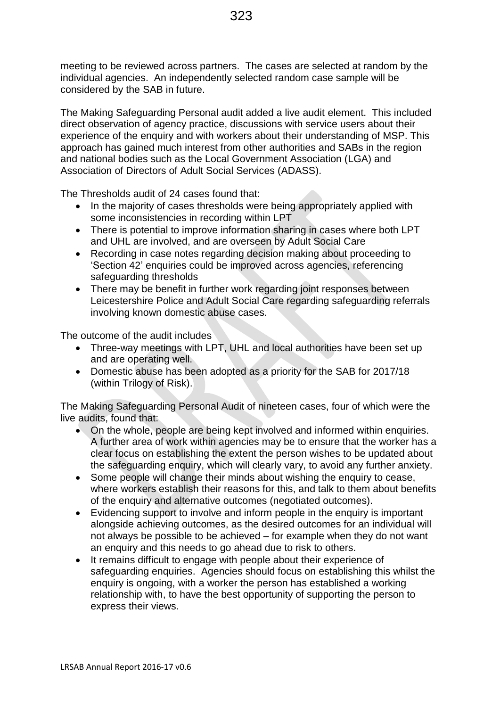meeting to be reviewed across partners. The cases are selected at random by the individual agencies. An independently selected random case sample will be considered by the SAB in future.

The Making Safeguarding Personal audit added a live audit element. This included direct observation of agency practice, discussions with service users about their experience of the enquiry and with workers about their understanding of MSP. This approach has gained much interest from other authorities and SABs in the region and national bodies such as the Local Government Association (LGA) and Association of Directors of Adult Social Services (ADASS).

The Thresholds audit of 24 cases found that:

- In the majority of cases thresholds were being appropriately applied with some inconsistencies in recording within LPT
- There is potential to improve information sharing in cases where both LPT and UHL are involved, and are overseen by Adult Social Care
- Recording in case notes regarding decision making about proceeding to 'Section 42' enquiries could be improved across agencies, referencing safeguarding thresholds
- There may be benefit in further work regarding joint responses between Leicestershire Police and Adult Social Care regarding safeguarding referrals involving known domestic abuse cases.

The outcome of the audit includes

- Three-way meetings with LPT, UHL and local authorities have been set up and are operating well.
- Domestic abuse has been adopted as a priority for the SAB for 2017/18 (within Trilogy of Risk).

The Making Safeguarding Personal Audit of nineteen cases, four of which were the live audits, found that:

- On the whole, people are being kept involved and informed within enquiries. A further area of work within agencies may be to ensure that the worker has a clear focus on establishing the extent the person wishes to be updated about the safeguarding enquiry, which will clearly vary, to avoid any further anxiety.
- Some people will change their minds about wishing the enquiry to cease, where workers establish their reasons for this, and talk to them about benefits of the enquiry and alternative outcomes (negotiated outcomes).
- Evidencing support to involve and inform people in the enquiry is important alongside achieving outcomes, as the desired outcomes for an individual will not always be possible to be achieved – for example when they do not want an enquiry and this needs to go ahead due to risk to others.
- It remains difficult to engage with people about their experience of safeguarding enquiries. Agencies should focus on establishing this whilst the enquiry is ongoing, with a worker the person has established a working relationship with, to have the best opportunity of supporting the person to express their views.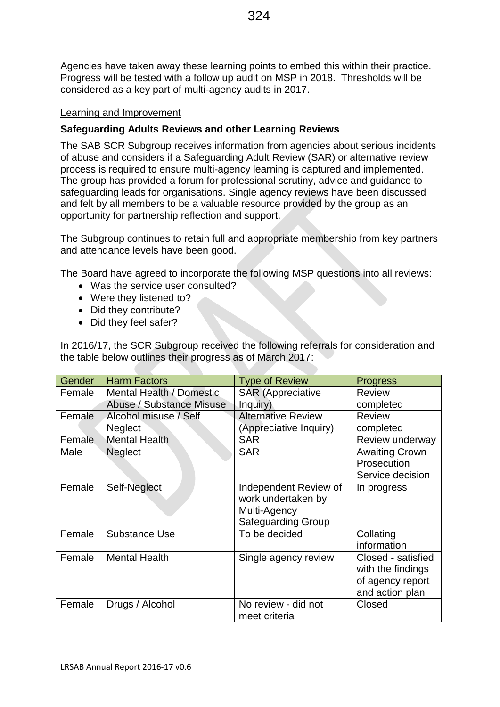Agencies have taken away these learning points to embed this within their practice. Progress will be tested with a follow up audit on MSP in 2018. Thresholds will be considered as a key part of multi-agency audits in 2017.

### Learning and Improvement

### **Safeguarding Adults Reviews and other Learning Reviews**

The SAB SCR Subgroup receives information from agencies about serious incidents of abuse and considers if a Safeguarding Adult Review (SAR) or alternative review process is required to ensure multi-agency learning is captured and implemented. The group has provided a forum for professional scrutiny, advice and guidance to safeguarding leads for organisations. Single agency reviews have been discussed and felt by all members to be a valuable resource provided by the group as an opportunity for partnership reflection and support.

The Subgroup continues to retain full and appropriate membership from key partners and attendance levels have been good.

The Board have agreed to incorporate the following MSP questions into all reviews:

- Was the service user consulted?
- Were they listened to?
- Did they contribute?
- Did they feel safer?

In 2016/17, the SCR Subgroup received the following referrals for consideration and the table below outlines their progress as of March 2017:

| Gender | <b>Harm Factors</b>             | <b>Type of Review</b>     | <b>Progress</b>       |
|--------|---------------------------------|---------------------------|-----------------------|
| Female | <b>Mental Health / Domestic</b> | <b>SAR</b> (Appreciative  | <b>Review</b>         |
|        | Abuse / Substance Misuse        | Inquiry)                  | completed             |
| Female | Alcohol misuse / Self           | <b>Alternative Review</b> | <b>Review</b>         |
|        | <b>Neglect</b>                  | (Appreciative Inquiry)    | completed             |
| Female | <b>Mental Health</b>            | <b>SAR</b>                | Review underway       |
| Male   | Neglect                         | <b>SAR</b>                | <b>Awaiting Crown</b> |
|        |                                 |                           | Prosecution           |
|        |                                 |                           | Service decision      |
| Female | Self-Neglect                    | Independent Review of     | In progress           |
|        |                                 | work undertaken by        |                       |
|        |                                 | Multi-Agency              |                       |
|        |                                 | Safeguarding Group        |                       |
| Female | Substance Use                   | To be decided             | Collating             |
|        |                                 |                           | information           |
| Female | <b>Mental Health</b>            | Single agency review      | Closed - satisfied    |
|        |                                 |                           | with the findings     |
|        |                                 |                           | of agency report      |
|        |                                 |                           | and action plan       |
| Female | Drugs / Alcohol                 | No review - did not       | Closed                |
|        |                                 | meet criteria             |                       |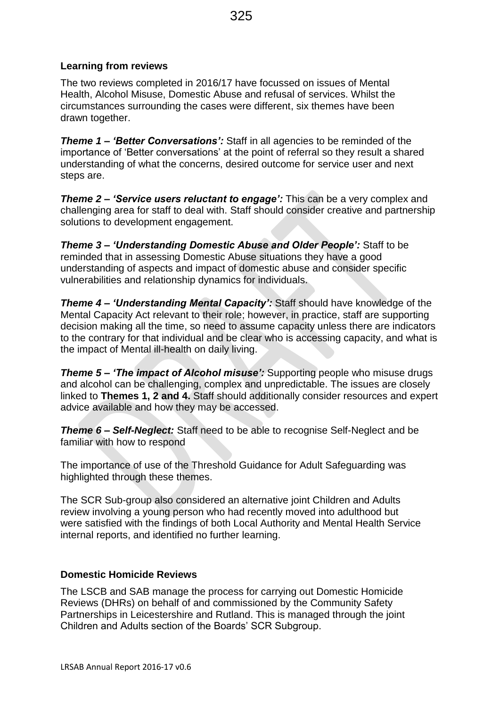### **Learning from reviews**

The two reviews completed in 2016/17 have focussed on issues of Mental Health, Alcohol Misuse, Domestic Abuse and refusal of services. Whilst the circumstances surrounding the cases were different, six themes have been drawn together.

*Theme 1 – 'Better Conversations':* Staff in all agencies to be reminded of the importance of 'Better conversations' at the point of referral so they result a shared understanding of what the concerns, desired outcome for service user and next steps are.

*Theme 2 – 'Service users reluctant to engage':* This can be a very complex and challenging area for staff to deal with. Staff should consider creative and partnership solutions to development engagement.

*Theme 3 – 'Understanding Domestic Abuse and Older People':* Staff to be reminded that in assessing Domestic Abuse situations they have a good understanding of aspects and impact of domestic abuse and consider specific vulnerabilities and relationship dynamics for individuals.

*Theme 4 – 'Understanding Mental Capacity':* Staff should have knowledge of the Mental Capacity Act relevant to their role; however, in practice, staff are supporting decision making all the time, so need to assume capacity unless there are indicators to the contrary for that individual and be clear who is accessing capacity, and what is the impact of Mental ill-health on daily living.

*Theme 5 – 'The impact of Alcohol misuse':* Supporting people who misuse drugs and alcohol can be challenging, complex and unpredictable. The issues are closely linked to **Themes 1, 2 and 4.** Staff should additionally consider resources and expert advice available and how they may be accessed.

*Theme 6 – Self-Neglect:* Staff need to be able to recognise Self-Neglect and be familiar with how to respond

The importance of use of the Threshold Guidance for Adult Safeguarding was highlighted through these themes.

The SCR Sub-group also considered an alternative joint Children and Adults review involving a young person who had recently moved into adulthood but were satisfied with the findings of both Local Authority and Mental Health Service internal reports, and identified no further learning.

### **Domestic Homicide Reviews**

The LSCB and SAB manage the process for carrying out Domestic Homicide Reviews (DHRs) on behalf of and commissioned by the Community Safety Partnerships in Leicestershire and Rutland. This is managed through the joint Children and Adults section of the Boards' SCR Subgroup.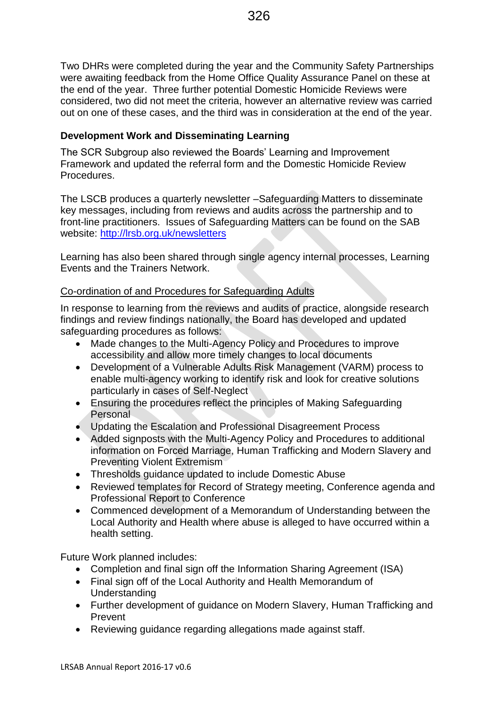Two DHRs were completed during the year and the Community Safety Partnerships were awaiting feedback from the Home Office Quality Assurance Panel on these at the end of the year. Three further potential Domestic Homicide Reviews were considered, two did not meet the criteria, however an alternative review was carried out on one of these cases, and the third was in consideration at the end of the year.

### **Development Work and Disseminating Learning**

The SCR Subgroup also reviewed the Boards' Learning and Improvement Framework and updated the referral form and the Domestic Homicide Review **Procedures** 

The LSCB produces a quarterly newsletter –Safeguarding Matters to disseminate key messages, including from reviews and audits across the partnership and to front-line practitioners. Issues of Safeguarding Matters can be found on the SAB website:<http://lrsb.org.uk/newsletters>

Learning has also been shared through single agency internal processes, Learning Events and the Trainers Network.

### Co-ordination of and Procedures for Safeguarding Adults

In response to learning from the reviews and audits of practice, alongside research findings and review findings nationally, the Board has developed and updated safeguarding procedures as follows:

- Made changes to the Multi-Agency Policy and Procedures to improve accessibility and allow more timely changes to local documents
- Development of a Vulnerable Adults Risk Management (VARM) process to enable multi-agency working to identify risk and look for creative solutions particularly in cases of Self-Neglect
- Ensuring the procedures reflect the principles of Making Safeguarding Personal
- Updating the Escalation and Professional Disagreement Process
- Added signposts with the Multi-Agency Policy and Procedures to additional information on Forced Marriage, Human Trafficking and Modern Slavery and Preventing Violent Extremism
- Thresholds guidance updated to include Domestic Abuse
- Reviewed templates for Record of Strategy meeting, Conference agenda and Professional Report to Conference
- Commenced development of a Memorandum of Understanding between the Local Authority and Health where abuse is alleged to have occurred within a health setting.

Future Work planned includes:

- Completion and final sign off the Information Sharing Agreement (ISA)
- Final sign off of the Local Authority and Health Memorandum of Understanding
- Further development of guidance on Modern Slavery, Human Trafficking and Prevent
- Reviewing guidance regarding allegations made against staff.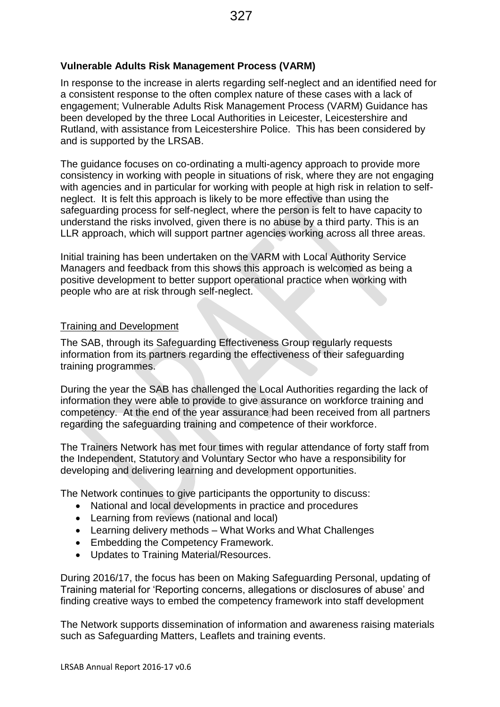### **Vulnerable Adults Risk Management Process (VARM)**

In response to the increase in alerts regarding self-neglect and an identified need for a consistent response to the often complex nature of these cases with a lack of engagement; Vulnerable Adults Risk Management Process (VARM) Guidance has been developed by the three Local Authorities in Leicester, Leicestershire and Rutland, with assistance from Leicestershire Police. This has been considered by and is supported by the LRSAB.

The guidance focuses on co-ordinating a multi-agency approach to provide more consistency in working with people in situations of risk, where they are not engaging with agencies and in particular for working with people at high risk in relation to selfneglect. It is felt this approach is likely to be more effective than using the safeguarding process for self-neglect, where the person is felt to have capacity to understand the risks involved, given there is no abuse by a third party. This is an LLR approach, which will support partner agencies working across all three areas.

Initial training has been undertaken on the VARM with Local Authority Service Managers and feedback from this shows this approach is welcomed as being a positive development to better support operational practice when working with people who are at risk through self-neglect.

### Training and Development

The SAB, through its Safeguarding Effectiveness Group regularly requests information from its partners regarding the effectiveness of their safeguarding training programmes.

During the year the SAB has challenged the Local Authorities regarding the lack of information they were able to provide to give assurance on workforce training and competency. At the end of the year assurance had been received from all partners regarding the safeguarding training and competence of their workforce.

The Trainers Network has met four times with regular attendance of forty staff from the Independent, Statutory and Voluntary Sector who have a responsibility for developing and delivering learning and development opportunities.

The Network continues to give participants the opportunity to discuss:

- National and local developments in practice and procedures
- Learning from reviews (national and local)
- Learning delivery methods What Works and What Challenges
- **Embedding the Competency Framework.**
- Updates to Training Material/Resources.

During 2016/17, the focus has been on Making Safeguarding Personal, updating of Training material for 'Reporting concerns, allegations or disclosures of abuse' and finding creative ways to embed the competency framework into staff development

The Network supports dissemination of information and awareness raising materials such as Safeguarding Matters, Leaflets and training events.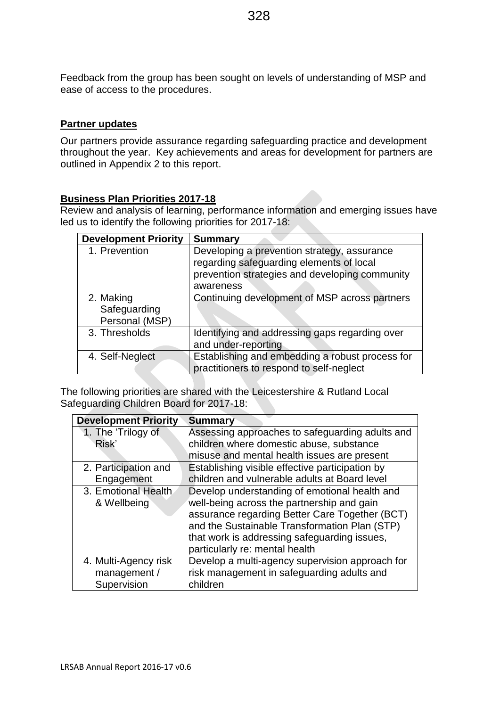Feedback from the group has been sought on levels of understanding of MSP and ease of access to the procedures.

### **Partner updates**

Our partners provide assurance regarding safeguarding practice and development throughout the year. Key achievements and areas for development for partners are outlined in Appendix 2 to this report.

### **Business Plan Priorities 2017-18**

Review and analysis of learning, performance information and emerging issues have led us to identify the following priorities for 2017-18:

| <b>Development Priority</b>                 | <b>Summary</b>                                                                                                                                         |
|---------------------------------------------|--------------------------------------------------------------------------------------------------------------------------------------------------------|
| 1. Prevention                               | Developing a prevention strategy, assurance<br>regarding safeguarding elements of local<br>prevention strategies and developing community<br>awareness |
| 2. Making<br>Safeguarding<br>Personal (MSP) | Continuing development of MSP across partners                                                                                                          |
| 3. Thresholds                               | Identifying and addressing gaps regarding over<br>and under-reporting                                                                                  |
| 4. Self-Neglect                             | Establishing and embedding a robust process for<br>practitioners to respond to self-neglect                                                            |

The following priorities are shared with the Leicestershire & Rutland Local Safeguarding Children Board for 2017-18:

| <b>Development Priority</b> | <b>Summary</b>                                  |
|-----------------------------|-------------------------------------------------|
| 1. The 'Trilogy of          | Assessing approaches to safeguarding adults and |
| Risk'                       | children where domestic abuse, substance        |
|                             | misuse and mental health issues are present     |
| 2. Participation and        | Establishing visible effective participation by |
| Engagement                  | children and vulnerable adults at Board level   |
| 3. Emotional Health.        | Develop understanding of emotional health and   |
| & Wellbeing                 | well-being across the partnership and gain      |
|                             | assurance regarding Better Care Together (BCT)  |
|                             | and the Sustainable Transformation Plan (STP)   |
|                             | that work is addressing safeguarding issues,    |
|                             | particularly re: mental health                  |
| 4. Multi-Agency risk        | Develop a multi-agency supervision approach for |
| management /                | risk management in safeguarding adults and      |
| Supervision                 | children                                        |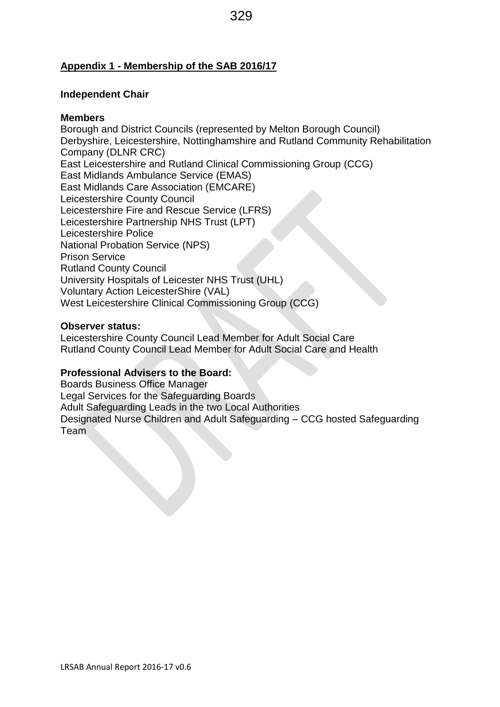### **Appendix 1 - Membership of the SAB 2016/17**

### **Independent Chair**

### **Members**

Borough and District Councils (represented by Melton Borough Council) Derbyshire, Leicestershire, Nottinghamshire and Rutland Community Rehabilitation Company (DLNR CRC) East Leicestershire and Rutland Clinical Commissioning Group (CCG) East Midlands Ambulance Service (EMAS) East Midlands Care Association (EMCARE) Leicestershire County Council Leicestershire Fire and Rescue Service (LFRS) Leicestershire Partnership NHS Trust (LPT) Leicestershire Police National Probation Service (NPS) Prison Service Rutland County Council University Hospitals of Leicester NHS Trust (UHL) Voluntary Action LeicesterShire (VAL) West Leicestershire Clinical Commissioning Group (CCG)

### **Observer status:**

Leicestershire County Council Lead Member for Adult Social Care Rutland County Council Lead Member for Adult Social Care and Health

### **Professional Advisers to the Board:**

Boards Business Office Manager Legal Services for the Safeguarding Boards Adult Safeguarding Leads in the two Local Authorities Designated Nurse Children and Adult Safeguarding – CCG hosted Safeguarding Team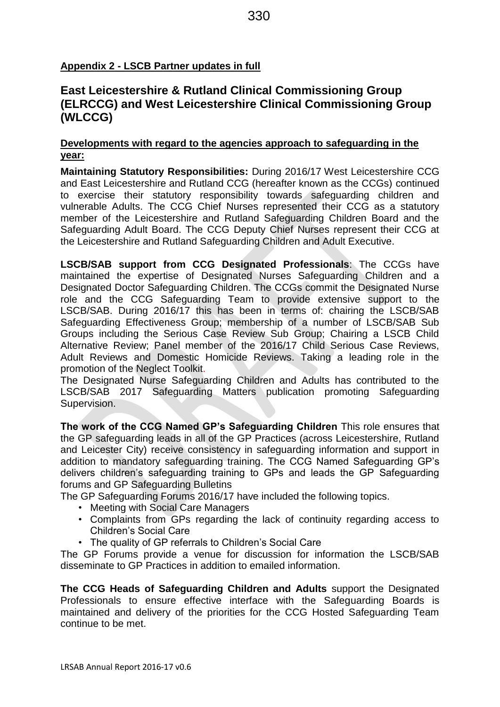# **Appendix 2 - LSCB Partner updates in full**

# **East Leicestershire & Rutland Clinical Commissioning Group (ELRCCG) and West Leicestershire Clinical Commissioning Group (WLCCG)**

### **Developments with regard to the agencies approach to safeguarding in the year:**

**Maintaining Statutory Responsibilities:** During 2016/17 West Leicestershire CCG and East Leicestershire and Rutland CCG (hereafter known as the CCGs) continued to exercise their statutory responsibility towards safeguarding children and vulnerable Adults. The CCG Chief Nurses represented their CCG as a statutory member of the Leicestershire and Rutland Safeguarding Children Board and the Safeguarding Adult Board. The CCG Deputy Chief Nurses represent their CCG at the Leicestershire and Rutland Safeguarding Children and Adult Executive.

**LSCB/SAB support from CCG Designated Professionals**: The CCGs have maintained the expertise of Designated Nurses Safeguarding Children and a Designated Doctor Safeguarding Children. The CCGs commit the Designated Nurse role and the CCG Safeguarding Team to provide extensive support to the LSCB/SAB. During 2016/17 this has been in terms of: chairing the LSCB/SAB Safeguarding Effectiveness Group; membership of a number of LSCB/SAB Sub Groups including the Serious Case Review Sub Group; Chairing a LSCB Child Alternative Review; Panel member of the 2016/17 Child Serious Case Reviews, Adult Reviews and Domestic Homicide Reviews. Taking a leading role in the promotion of the Neglect Toolkit.

The Designated Nurse Safeguarding Children and Adults has contributed to the LSCB/SAB 2017 Safeguarding Matters publication promoting Safeguarding Supervision.

**The work of the CCG Named GP's Safeguarding Children** This role ensures that the GP safeguarding leads in all of the GP Practices (across Leicestershire, Rutland and Leicester City) receive consistency in safeguarding information and support in addition to mandatory safeguarding training. The CCG Named Safeguarding GP's delivers children's safeguarding training to GPs and leads the GP Safeguarding forums and GP Safeguarding Bulletins

The GP Safeguarding Forums 2016/17 have included the following topics.

- Meeting with Social Care Managers
- Complaints from GPs regarding the lack of continuity regarding access to Children's Social Care
- The quality of GP referrals to Children's Social Care

The GP Forums provide a venue for discussion for information the LSCB/SAB disseminate to GP Practices in addition to emailed information.

**The CCG Heads of Safeguarding Children and Adults** support the Designated Professionals to ensure effective interface with the Safeguarding Boards is maintained and delivery of the priorities for the CCG Hosted Safeguarding Team continue to be met.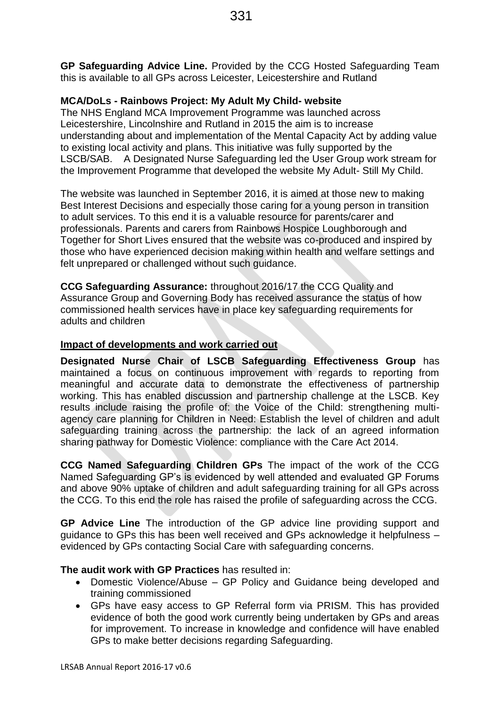**GP Safeguarding Advice Line.** Provided by the CCG Hosted Safeguarding Team this is available to all GPs across Leicester, Leicestershire and Rutland

### **MCA/DoLs - Rainbows Project: My Adult My Child- website**

The NHS England MCA Improvement Programme was launched across Leicestershire, Lincolnshire and Rutland in 2015 the aim is to increase understanding about and implementation of the Mental Capacity Act by adding value to existing local activity and plans. This initiative was fully supported by the LSCB/SAB. A Designated Nurse Safeguarding led the User Group work stream for the Improvement Programme that developed the website My Adult- Still My Child.

The website was launched in September 2016, it is aimed at those new to making Best Interest Decisions and especially those caring for a young person in transition to adult services. To this end it is a valuable resource for parents/carer and professionals. Parents and carers from Rainbows Hospice Loughborough and Together for Short Lives ensured that the website was co-produced and inspired by those who have experienced decision making within health and welfare settings and felt unprepared or challenged without such guidance.

**CCG Safeguarding Assurance:** throughout 2016/17 the CCG Quality and Assurance Group and Governing Body has received assurance the status of how commissioned health services have in place key safeguarding requirements for adults and children

### **Impact of developments and work carried out**

**Designated Nurse Chair of LSCB Safeguarding Effectiveness Group** has maintained a focus on continuous improvement with regards to reporting from meaningful and accurate data to demonstrate the effectiveness of partnership working. This has enabled discussion and partnership challenge at the LSCB. Key results include raising the profile of: the Voice of the Child: strengthening multiagency care planning for Children in Need: Establish the level of children and adult safeguarding training across the partnership: the lack of an agreed information sharing pathway for Domestic Violence: compliance with the Care Act 2014.

**CCG Named Safeguarding Children GPs** The impact of the work of the CCG Named Safeguarding GP's is evidenced by well attended and evaluated GP Forums and above 90% uptake of children and adult safeguarding training for all GPs across the CCG. To this end the role has raised the profile of safeguarding across the CCG.

**GP Advice Line** The introduction of the GP advice line providing support and guidance to GPs this has been well received and GPs acknowledge it helpfulness – evidenced by GPs contacting Social Care with safeguarding concerns.

### **The audit work with GP Practices** has resulted in:

- Domestic Violence/Abuse GP Policy and Guidance being developed and training commissioned
- GPs have easy access to GP Referral form via PRISM. This has provided evidence of both the good work currently being undertaken by GPs and areas for improvement. To increase in knowledge and confidence will have enabled GPs to make better decisions regarding Safeguarding.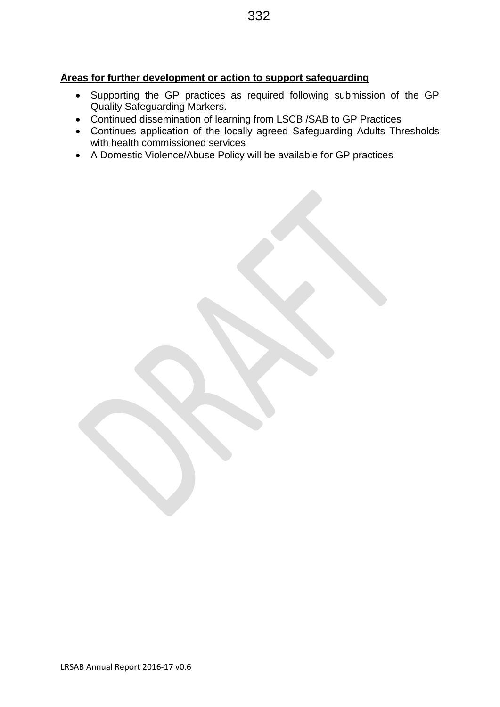### **Areas for further development or action to support safeguarding**

- Supporting the GP practices as required following submission of the GP Quality Safeguarding Markers.
- Continued dissemination of learning from LSCB /SAB to GP Practices
- Continues application of the locally agreed Safeguarding Adults Thresholds with health commissioned services
- A Domestic Violence/Abuse Policy will be available for GP practices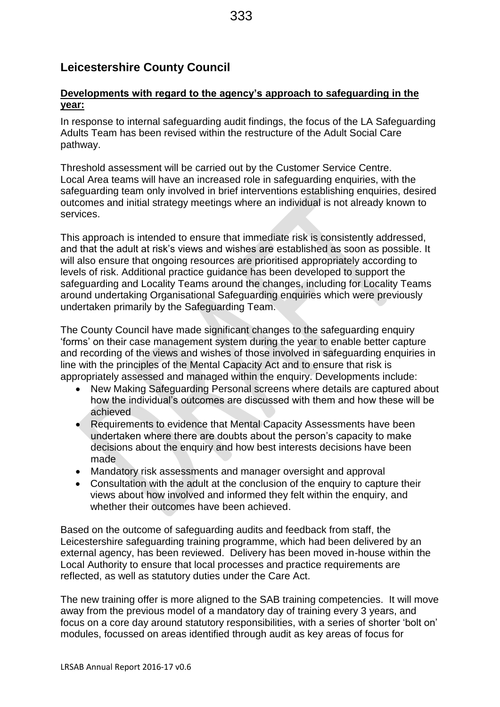# **Leicestershire County Council**

### **Developments with regard to the agency's approach to safeguarding in the year:**

In response to internal safeguarding audit findings, the focus of the LA Safeguarding Adults Team has been revised within the restructure of the Adult Social Care pathway.

Threshold assessment will be carried out by the Customer Service Centre. Local Area teams will have an increased role in safeguarding enquiries, with the safeguarding team only involved in brief interventions establishing enquiries, desired outcomes and initial strategy meetings where an individual is not already known to services.

This approach is intended to ensure that immediate risk is consistently addressed, and that the adult at risk's views and wishes are established as soon as possible. It will also ensure that ongoing resources are prioritised appropriately according to levels of risk. Additional practice guidance has been developed to support the safeguarding and Locality Teams around the changes, including for Locality Teams around undertaking Organisational Safeguarding enquiries which were previously undertaken primarily by the Safeguarding Team.

The County Council have made significant changes to the safeguarding enquiry 'forms' on their case management system during the year to enable better capture and recording of the views and wishes of those involved in safeguarding enquiries in line with the principles of the Mental Capacity Act and to ensure that risk is appropriately assessed and managed within the enquiry. Developments include:

- New Making Safeguarding Personal screens where details are captured about how the individual's outcomes are discussed with them and how these will be achieved
- Requirements to evidence that Mental Capacity Assessments have been undertaken where there are doubts about the person's capacity to make decisions about the enquiry and how best interests decisions have been made
- Mandatory risk assessments and manager oversight and approval
- Consultation with the adult at the conclusion of the enquiry to capture their views about how involved and informed they felt within the enquiry, and whether their outcomes have been achieved.

Based on the outcome of safeguarding audits and feedback from staff, the Leicestershire safeguarding training programme, which had been delivered by an external agency, has been reviewed. Delivery has been moved in-house within the Local Authority to ensure that local processes and practice requirements are reflected, as well as statutory duties under the Care Act.

The new training offer is more aligned to the SAB training competencies. It will move away from the previous model of a mandatory day of training every 3 years, and focus on a core day around statutory responsibilities, with a series of shorter 'bolt on' modules, focussed on areas identified through audit as key areas of focus for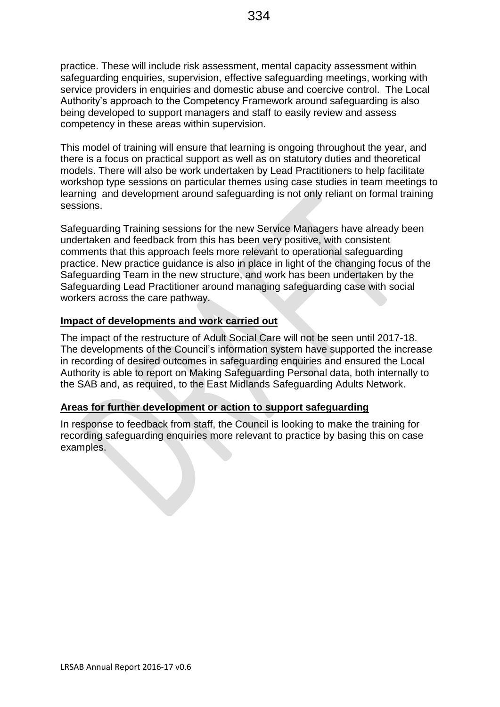practice. These will include risk assessment, mental capacity assessment within safeguarding enquiries, supervision, effective safeguarding meetings, working with service providers in enquiries and domestic abuse and coercive control. The Local Authority's approach to the Competency Framework around safeguarding is also being developed to support managers and staff to easily review and assess competency in these areas within supervision.

This model of training will ensure that learning is ongoing throughout the year, and there is a focus on practical support as well as on statutory duties and theoretical models. There will also be work undertaken by Lead Practitioners to help facilitate workshop type sessions on particular themes using case studies in team meetings to learning and development around safeguarding is not only reliant on formal training sessions.

Safeguarding Training sessions for the new Service Managers have already been undertaken and feedback from this has been very positive, with consistent comments that this approach feels more relevant to operational safeguarding practice. New practice guidance is also in place in light of the changing focus of the Safeguarding Team in the new structure, and work has been undertaken by the Safeguarding Lead Practitioner around managing safeguarding case with social workers across the care pathway.

### **Impact of developments and work carried out**

The impact of the restructure of Adult Social Care will not be seen until 2017-18. The developments of the Council's information system have supported the increase in recording of desired outcomes in safeguarding enquiries and ensured the Local Authority is able to report on Making Safeguarding Personal data, both internally to the SAB and, as required, to the East Midlands Safeguarding Adults Network.

### **Areas for further development or action to support safeguarding**

In response to feedback from staff, the Council is looking to make the training for recording safeguarding enquiries more relevant to practice by basing this on case examples.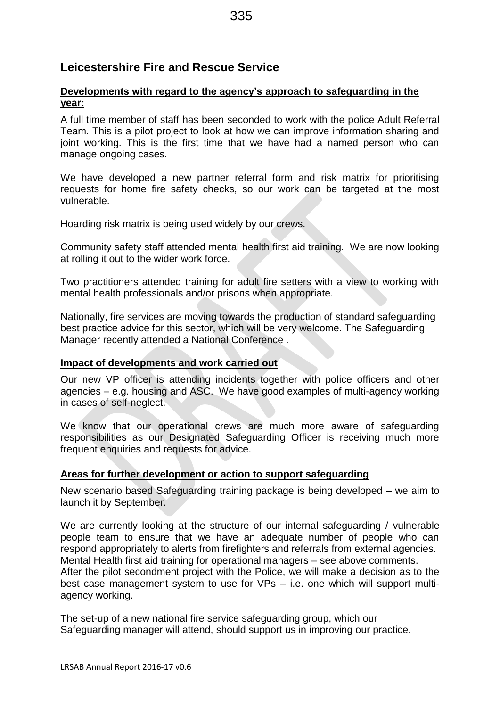# **Leicestershire Fire and Rescue Service**

# **Developments with regard to the agency's approach to safeguarding in the year:**

A full time member of staff has been seconded to work with the police Adult Referral Team. This is a pilot project to look at how we can improve information sharing and joint working. This is the first time that we have had a named person who can manage ongoing cases.

We have developed a new partner referral form and risk matrix for prioritising requests for home fire safety checks, so our work can be targeted at the most vulnerable.

Hoarding risk matrix is being used widely by our crews.

Community safety staff attended mental health first aid training. We are now looking at rolling it out to the wider work force.

Two practitioners attended training for adult fire setters with a view to working with mental health professionals and/or prisons when appropriate.

Nationally, fire services are moving towards the production of standard safeguarding best practice advice for this sector, which will be very welcome. The Safeguarding Manager recently attended a National Conference .

# **Impact of developments and work carried out**

Our new VP officer is attending incidents together with police officers and other agencies – e.g. housing and ASC. We have good examples of multi-agency working in cases of self-neglect.

We know that our operational crews are much more aware of safeguarding responsibilities as our Designated Safeguarding Officer is receiving much more frequent enquiries and requests for advice.

# **Areas for further development or action to support safeguarding**

New scenario based Safeguarding training package is being developed – we aim to launch it by September.

We are currently looking at the structure of our internal safeguarding / vulnerable people team to ensure that we have an adequate number of people who can respond appropriately to alerts from firefighters and referrals from external agencies. Mental Health first aid training for operational managers – see above comments. After the pilot secondment project with the Police, we will make a decision as to the best case management system to use for VPs – i.e. one which will support multiagency working.

The set-up of a new national fire service safeguarding group, which our Safeguarding manager will attend, should support us in improving our practice.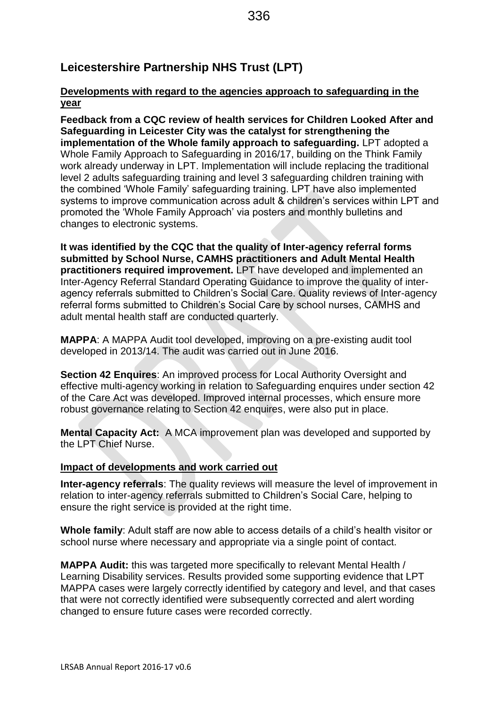# **Leicestershire Partnership NHS Trust (LPT)**

### **Developments with regard to the agencies approach to safeguarding in the year**

**Feedback from a CQC review of health services for Children Looked After and Safeguarding in Leicester City was the catalyst for strengthening the implementation of the Whole family approach to safeguarding.** LPT adopted a Whole Family Approach to Safeguarding in 2016/17, building on the Think Family work already underway in LPT. Implementation will include replacing the traditional level 2 adults safeguarding training and level 3 safeguarding children training with the combined 'Whole Family' safeguarding training. LPT have also implemented systems to improve communication across adult & children's services within LPT and promoted the 'Whole Family Approach' via posters and monthly bulletins and changes to electronic systems.

**It was identified by the CQC that the quality of Inter-agency referral forms submitted by School Nurse, CAMHS practitioners and Adult Mental Health practitioners required improvement.** LPT have developed and implemented an Inter-Agency Referral Standard Operating Guidance to improve the quality of interagency referrals submitted to Children's Social Care. Quality reviews of Inter-agency referral forms submitted to Children's Social Care by school nurses, CAMHS and adult mental health staff are conducted quarterly.

**MAPPA**: A MAPPA Audit tool developed, improving on a pre-existing audit tool developed in 2013/14. The audit was carried out in June 2016.

**Section 42 Enquires**: An improved process for Local Authority Oversight and effective multi-agency working in relation to Safeguarding enquires under section 42 of the Care Act was developed. Improved internal processes, which ensure more robust governance relating to Section 42 enquires, were also put in place.

**Mental Capacity Act:** A MCA improvement plan was developed and supported by the LPT Chief Nurse.

### **Impact of developments and work carried out**

**Inter-agency referrals**: The quality reviews will measure the level of improvement in relation to inter-agency referrals submitted to Children's Social Care, helping to ensure the right service is provided at the right time.

**Whole family**: Adult staff are now able to access details of a child's health visitor or school nurse where necessary and appropriate via a single point of contact.

**MAPPA Audit:** this was targeted more specifically to relevant Mental Health / Learning Disability services. Results provided some supporting evidence that LPT MAPPA cases were largely correctly identified by category and level, and that cases that were not correctly identified were subsequently corrected and alert wording changed to ensure future cases were recorded correctly.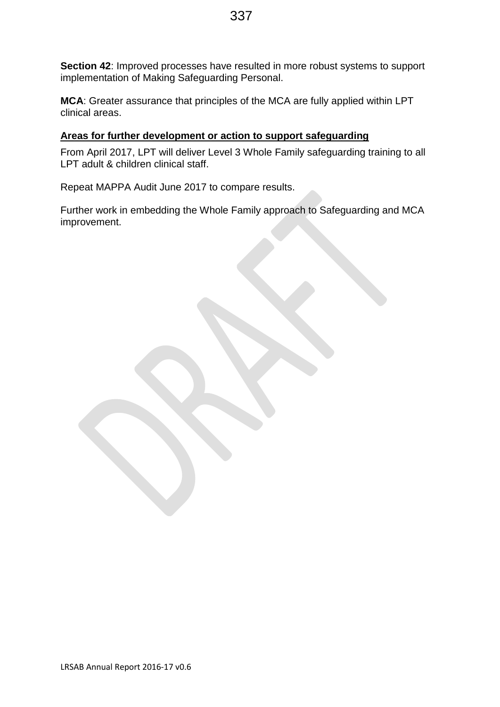**Section 42**: Improved processes have resulted in more robust systems to support implementation of Making Safeguarding Personal.

**MCA**: Greater assurance that principles of the MCA are fully applied within LPT clinical areas.

# **Areas for further development or action to support safeguarding**

From April 2017, LPT will deliver Level 3 Whole Family safeguarding training to all LPT adult & children clinical staff.

Repeat MAPPA Audit June 2017 to compare results.

Further work in embedding the Whole Family approach to Safeguarding and MCA improvement.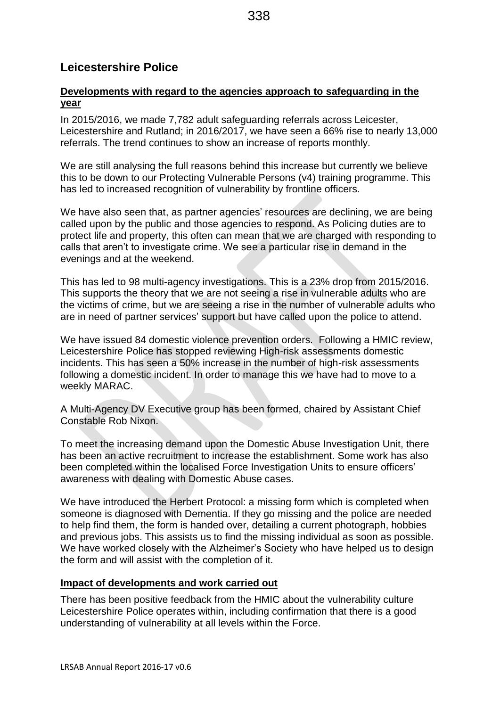# **Leicestershire Police**

### **Developments with regard to the agencies approach to safeguarding in the year**

In 2015/2016, we made 7,782 adult safeguarding referrals across Leicester, Leicestershire and Rutland; in 2016/2017, we have seen a 66% rise to nearly 13,000 referrals. The trend continues to show an increase of reports monthly.

We are still analysing the full reasons behind this increase but currently we believe this to be down to our Protecting Vulnerable Persons (v4) training programme. This has led to increased recognition of vulnerability by frontline officers.

We have also seen that, as partner agencies' resources are declining, we are being called upon by the public and those agencies to respond. As Policing duties are to protect life and property, this often can mean that we are charged with responding to calls that aren't to investigate crime. We see a particular rise in demand in the evenings and at the weekend.

This has led to 98 multi-agency investigations. This is a 23% drop from 2015/2016. This supports the theory that we are not seeing a rise in vulnerable adults who are the victims of crime, but we are seeing a rise in the number of vulnerable adults who are in need of partner services' support but have called upon the police to attend.

We have issued 84 domestic violence prevention orders. Following a HMIC review, Leicestershire Police has stopped reviewing High-risk assessments domestic incidents. This has seen a 50% increase in the number of high-risk assessments following a domestic incident. In order to manage this we have had to move to a weekly MARAC.

A Multi-Agency DV Executive group has been formed, chaired by Assistant Chief Constable Rob Nixon.

To meet the increasing demand upon the Domestic Abuse Investigation Unit, there has been an active recruitment to increase the establishment. Some work has also been completed within the localised Force Investigation Units to ensure officers' awareness with dealing with Domestic Abuse cases.

We have introduced the Herbert Protocol: a missing form which is completed when someone is diagnosed with Dementia. If they go missing and the police are needed to help find them, the form is handed over, detailing a current photograph, hobbies and previous jobs. This assists us to find the missing individual as soon as possible. We have worked closely with the Alzheimer's Society who have helped us to design the form and will assist with the completion of it.

### **Impact of developments and work carried out**

There has been positive feedback from the HMIC about the vulnerability culture Leicestershire Police operates within, including confirmation that there is a good understanding of vulnerability at all levels within the Force.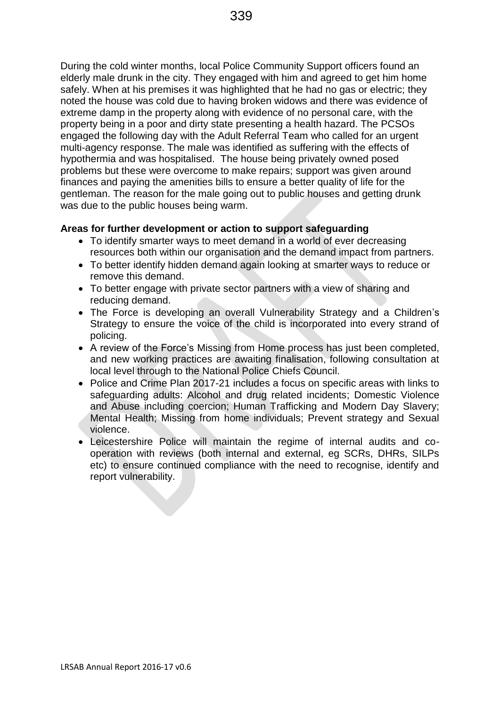During the cold winter months, local Police Community Support officers found an elderly male drunk in the city. They engaged with him and agreed to get him home safely. When at his premises it was highlighted that he had no gas or electric; they noted the house was cold due to having broken widows and there was evidence of extreme damp in the property along with evidence of no personal care, with the property being in a poor and dirty state presenting a health hazard. The PCSOs engaged the following day with the Adult Referral Team who called for an urgent multi-agency response. The male was identified as suffering with the effects of hypothermia and was hospitalised. The house being privately owned posed problems but these were overcome to make repairs; support was given around finances and paying the amenities bills to ensure a better quality of life for the gentleman. The reason for the male going out to public houses and getting drunk was due to the public houses being warm.

### **Areas for further development or action to support safeguarding**

- To identify smarter ways to meet demand in a world of ever decreasing resources both within our organisation and the demand impact from partners.
- To better identify hidden demand again looking at smarter ways to reduce or remove this demand.
- To better engage with private sector partners with a view of sharing and reducing demand.
- The Force is developing an overall Vulnerability Strategy and a Children's Strategy to ensure the voice of the child is incorporated into every strand of policing.
- A review of the Force's Missing from Home process has just been completed, and new working practices are awaiting finalisation, following consultation at local level through to the National Police Chiefs Council.
- Police and Crime Plan 2017-21 includes a focus on specific areas with links to safeguarding adults: Alcohol and drug related incidents; Domestic Violence and Abuse including coercion; Human Trafficking and Modern Day Slavery; Mental Health; Missing from home individuals; Prevent strategy and Sexual violence.
- Leicestershire Police will maintain the regime of internal audits and cooperation with reviews (both internal and external, eg SCRs, DHRs, SILPs etc) to ensure continued compliance with the need to recognise, identify and report vulnerability.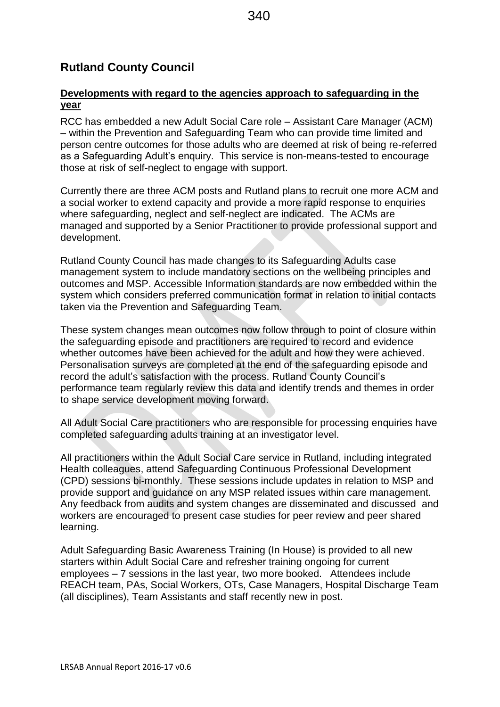# **Rutland County Council**

### **Developments with regard to the agencies approach to safeguarding in the year**

RCC has embedded a new Adult Social Care role – Assistant Care Manager (ACM) – within the Prevention and Safeguarding Team who can provide time limited and person centre outcomes for those adults who are deemed at risk of being re-referred as a Safeguarding Adult's enquiry. This service is non-means-tested to encourage those at risk of self-neglect to engage with support.

Currently there are three ACM posts and Rutland plans to recruit one more ACM and a social worker to extend capacity and provide a more rapid response to enquiries where safeguarding, neglect and self-neglect are indicated. The ACMs are managed and supported by a Senior Practitioner to provide professional support and development.

Rutland County Council has made changes to its Safeguarding Adults case management system to include mandatory sections on the wellbeing principles and outcomes and MSP. Accessible Information standards are now embedded within the system which considers preferred communication format in relation to initial contacts taken via the Prevention and Safeguarding Team.

These system changes mean outcomes now follow through to point of closure within the safeguarding episode and practitioners are required to record and evidence whether outcomes have been achieved for the adult and how they were achieved. Personalisation surveys are completed at the end of the safeguarding episode and record the adult's satisfaction with the process. Rutland County Council's performance team regularly review this data and identify trends and themes in order to shape service development moving forward.

All Adult Social Care practitioners who are responsible for processing enquiries have completed safeguarding adults training at an investigator level.

All practitioners within the Adult Social Care service in Rutland, including integrated Health colleagues, attend Safeguarding Continuous Professional Development (CPD) sessions bi-monthly. These sessions include updates in relation to MSP and provide support and guidance on any MSP related issues within care management. Any feedback from audits and system changes are disseminated and discussed and workers are encouraged to present case studies for peer review and peer shared learning.

Adult Safeguarding Basic Awareness Training (In House) is provided to all new starters within Adult Social Care and refresher training ongoing for current employees – 7 sessions in the last year, two more booked. Attendees include REACH team, PAs, Social Workers, OTs, Case Managers, Hospital Discharge Team (all disciplines), Team Assistants and staff recently new in post.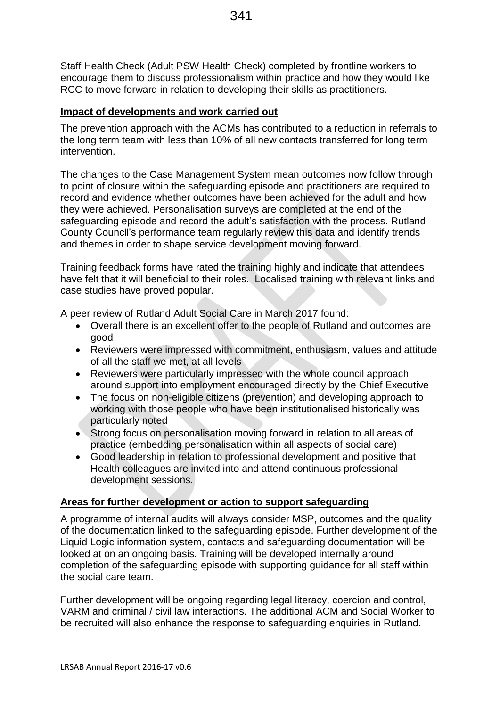Staff Health Check (Adult PSW Health Check) completed by frontline workers to encourage them to discuss professionalism within practice and how they would like RCC to move forward in relation to developing their skills as practitioners.

### **Impact of developments and work carried out**

The prevention approach with the ACMs has contributed to a reduction in referrals to the long term team with less than 10% of all new contacts transferred for long term intervention.

The changes to the Case Management System mean outcomes now follow through to point of closure within the safeguarding episode and practitioners are required to record and evidence whether outcomes have been achieved for the adult and how they were achieved. Personalisation surveys are completed at the end of the safeguarding episode and record the adult's satisfaction with the process. Rutland County Council's performance team regularly review this data and identify trends and themes in order to shape service development moving forward.

Training feedback forms have rated the training highly and indicate that attendees have felt that it will beneficial to their roles. Localised training with relevant links and case studies have proved popular.

A peer review of Rutland Adult Social Care in March 2017 found:

- Overall there is an excellent offer to the people of Rutland and outcomes are good
- Reviewers were impressed with commitment, enthusiasm, values and attitude of all the staff we met, at all levels
- Reviewers were particularly impressed with the whole council approach around support into employment encouraged directly by the Chief Executive
- The focus on non-eligible citizens (prevention) and developing approach to working with those people who have been institutionalised historically was particularly noted
- Strong focus on personalisation moving forward in relation to all areas of practice (embedding personalisation within all aspects of social care)
- Good leadership in relation to professional development and positive that Health colleagues are invited into and attend continuous professional development sessions.

### **Areas for further development or action to support safeguarding**

A programme of internal audits will always consider MSP, outcomes and the quality of the documentation linked to the safeguarding episode. Further development of the Liquid Logic information system, contacts and safeguarding documentation will be looked at on an ongoing basis. Training will be developed internally around completion of the safeguarding episode with supporting guidance for all staff within the social care team.

Further development will be ongoing regarding legal literacy, coercion and control, VARM and criminal / civil law interactions. The additional ACM and Social Worker to be recruited will also enhance the response to safeguarding enquiries in Rutland.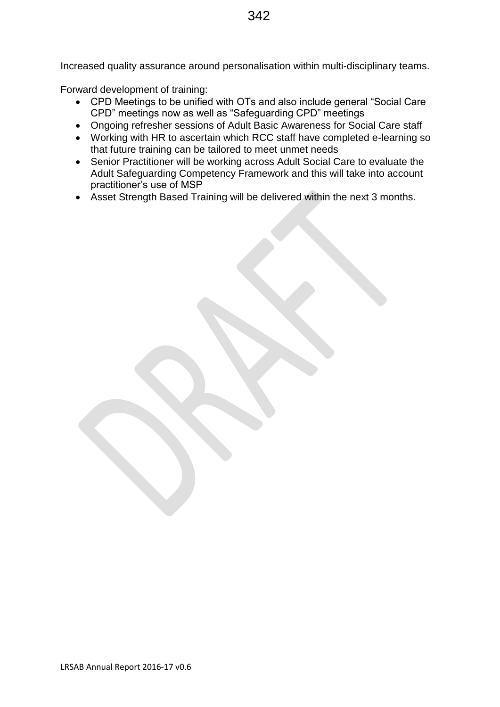Increased quality assurance around personalisation within multi-disciplinary teams.

Forward development of training:

- CPD Meetings to be unified with OTs and also include general "Social Care CPD" meetings now as well as "Safeguarding CPD" meetings
- Ongoing refresher sessions of Adult Basic Awareness for Social Care staff
- Working with HR to ascertain which RCC staff have completed e-learning so that future training can be tailored to meet unmet needs
- Senior Practitioner will be working across Adult Social Care to evaluate the Adult Safeguarding Competency Framework and this will take into account practitioner's use of MSP
- Asset Strength Based Training will be delivered within the next 3 months.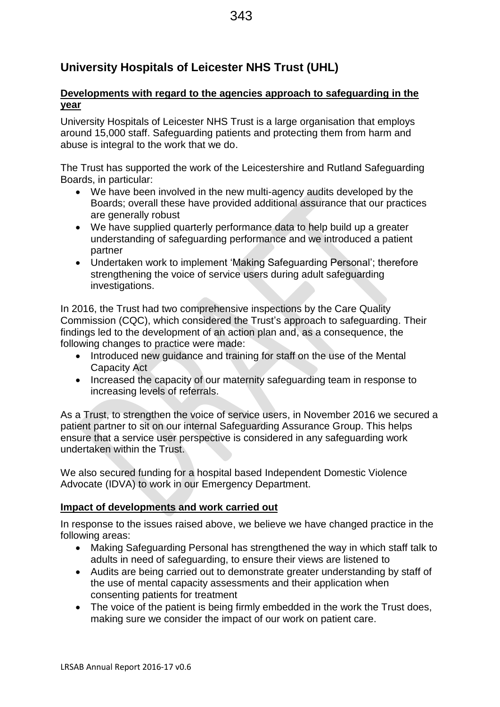# **University Hospitals of Leicester NHS Trust (UHL)**

### **Developments with regard to the agencies approach to safeguarding in the year**

University Hospitals of Leicester NHS Trust is a large organisation that employs around 15,000 staff. Safeguarding patients and protecting them from harm and abuse is integral to the work that we do.

The Trust has supported the work of the Leicestershire and Rutland Safeguarding Boards, in particular:

- We have been involved in the new multi-agency audits developed by the Boards; overall these have provided additional assurance that our practices are generally robust
- We have supplied quarterly performance data to help build up a greater understanding of safeguarding performance and we introduced a patient partner
- Undertaken work to implement 'Making Safeguarding Personal'; therefore strengthening the voice of service users during adult safeguarding investigations.

In 2016, the Trust had two comprehensive inspections by the Care Quality Commission (CQC), which considered the Trust's approach to safeguarding. Their findings led to the development of an action plan and, as a consequence, the following changes to practice were made:

- Introduced new quidance and training for staff on the use of the Mental Capacity Act
- Increased the capacity of our maternity safeguarding team in response to increasing levels of referrals.

As a Trust, to strengthen the voice of service users, in November 2016 we secured a patient partner to sit on our internal Safeguarding Assurance Group. This helps ensure that a service user perspective is considered in any safeguarding work undertaken within the Trust.

We also secured funding for a hospital based Independent Domestic Violence Advocate (IDVA) to work in our Emergency Department.

### **Impact of developments and work carried out**

In response to the issues raised above, we believe we have changed practice in the following areas:

- Making Safeguarding Personal has strengthened the way in which staff talk to adults in need of safeguarding, to ensure their views are listened to
- Audits are being carried out to demonstrate greater understanding by staff of the use of mental capacity assessments and their application when consenting patients for treatment
- The voice of the patient is being firmly embedded in the work the Trust does, making sure we consider the impact of our work on patient care.